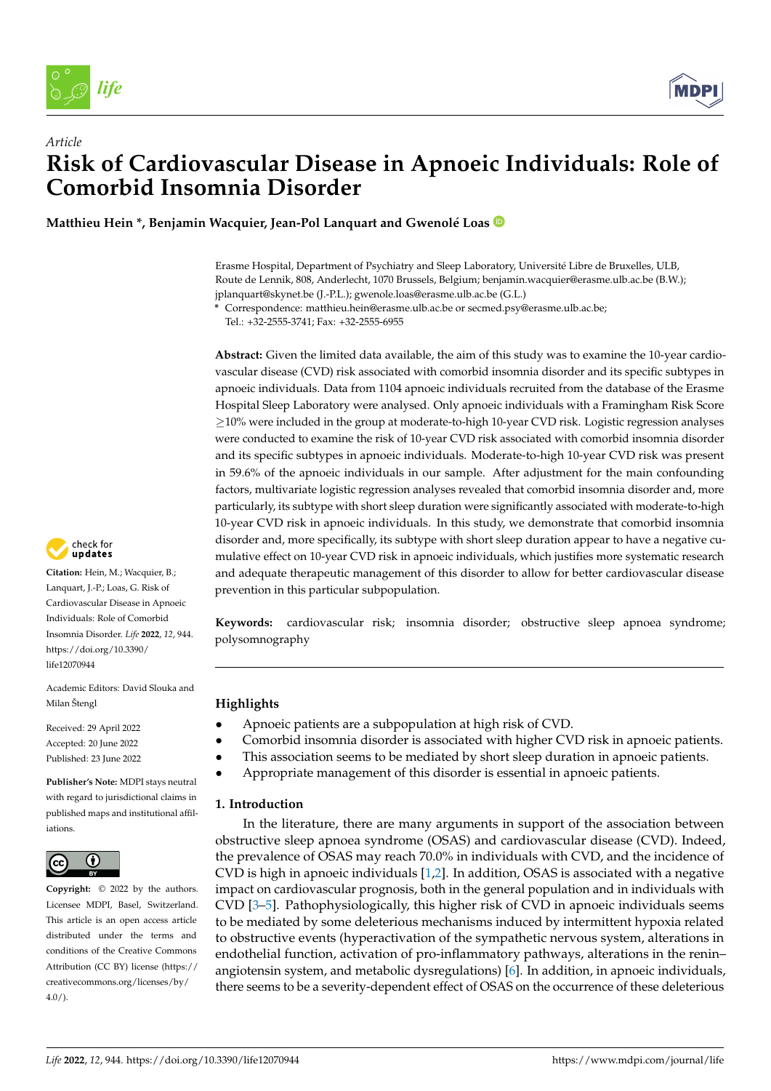



# *Article* **Risk of Cardiovascular Disease in Apnoeic Individuals: Role of Comorbid Insomnia Disorder**

**Matthieu Hein \*, Benjamin Wacquier, Jean-Pol Lanquart and Gwenolé Loas**

Erasme Hospital, Department of Psychiatry and Sleep Laboratory, Université Libre de Bruxelles, ULB, Route de Lennik, 808, Anderlecht, 1070 Brussels, Belgium; benjamin.wacquier@erasme.ulb.ac.be (B.W.); jplanquart@skynet.be (J.-P.L.); gwenole.loas@erasme.ulb.ac.be (G.L.)

**\*** Correspondence: matthieu.hein@erasme.ulb.ac.be or secmed.psy@erasme.ulb.ac.be;

Tel.: +32-2555-3741; Fax: +32-2555-6955

**Abstract:** Given the limited data available, the aim of this study was to examine the 10-year cardiovascular disease (CVD) risk associated with comorbid insomnia disorder and its specific subtypes in apnoeic individuals. Data from 1104 apnoeic individuals recruited from the database of the Erasme Hospital Sleep Laboratory were analysed. Only apnoeic individuals with a Framingham Risk Score ≥10% were included in the group at moderate-to-high 10-year CVD risk. Logistic regression analyses were conducted to examine the risk of 10-year CVD risk associated with comorbid insomnia disorder and its specific subtypes in apnoeic individuals. Moderate-to-high 10-year CVD risk was present in 59.6% of the apnoeic individuals in our sample. After adjustment for the main confounding factors, multivariate logistic regression analyses revealed that comorbid insomnia disorder and, more particularly, its subtype with short sleep duration were significantly associated with moderate-to-high 10-year CVD risk in apnoeic individuals. In this study, we demonstrate that comorbid insomnia disorder and, more specifically, its subtype with short sleep duration appear to have a negative cumulative effect on 10-year CVD risk in apnoeic individuals, which justifies more systematic research and adequate therapeutic management of this disorder to allow for better cardiovascular disease prevention in this particular subpopulation.

**Keywords:** cardiovascular risk; insomnia disorder; obstructive sleep apnoea syndrome; polysomnography

# **Highlights**

- Apnoeic patients are a subpopulation at high risk of CVD.
- Comorbid insomnia disorder is associated with higher CVD risk in apnoeic patients.
- This association seems to be mediated by short sleep duration in apnoeic patients.
- Appropriate management of this disorder is essential in apnoeic patients.

# **1. Introduction**

In the literature, there are many arguments in support of the association between obstructive sleep apnoea syndrome (OSAS) and cardiovascular disease (CVD). Indeed, the prevalence of OSAS may reach 70.0% in individuals with CVD, and the incidence of CVD is high in apnoeic individuals  $[1,2]$  $[1,2]$ . In addition, OSAS is associated with a negative impact on cardiovascular prognosis, both in the general population and in individuals with CVD [\[3](#page-11-2)[–5\]](#page-11-3). Pathophysiologically, this higher risk of CVD in apnoeic individuals seems to be mediated by some deleterious mechanisms induced by intermittent hypoxia related to obstructive events (hyperactivation of the sympathetic nervous system, alterations in endothelial function, activation of pro-inflammatory pathways, alterations in the renin– angiotensin system, and metabolic dysregulations) [\[6\]](#page-11-4). In addition, in apnoeic individuals, there seems to be a severity-dependent effect of OSAS on the occurrence of these deleterious



**Citation:** Hein, M.; Wacquier, B.; Lanquart, J.-P.; Loas, G. Risk of Cardiovascular Disease in Apnoeic Individuals: Role of Comorbid Insomnia Disorder. *Life* **2022**, *12*, 944. [https://doi.org/10.3390/](https://doi.org/10.3390/life12070944) [life12070944](https://doi.org/10.3390/life12070944)

Academic Editors: David Slouka and Milan Štengl

Received: 29 April 2022 Accepted: 20 June 2022 Published: 23 June 2022

**Publisher's Note:** MDPI stays neutral with regard to jurisdictional claims in published maps and institutional affiliations.



*Article*<br> **Article**<br> **Risk of Commorbic**<br> **Matthieu Hein \*,**<br>
Matthieu Hein \*,<br>
Matthieu Hein \*,<br>
Commorbic<br>
Commorbic<br>
Insomnia Disorder. Life 20<br>
Inters://doi.org/10.3390/<br>
Inters://doi.org/10.3390/<br>
Inters://doi.org/10 **Copyright:** © 2022 by the authors. Licensee MDPI, Basel, Switzerland. This article is an open access article distributed under the terms and conditions of the Creative Commons Attribution (CC BY) license [\(https://](https://creativecommons.org/licenses/by/4.0/) [creativecommons.org/licenses/by/](https://creativecommons.org/licenses/by/4.0/)  $4.0/$ ).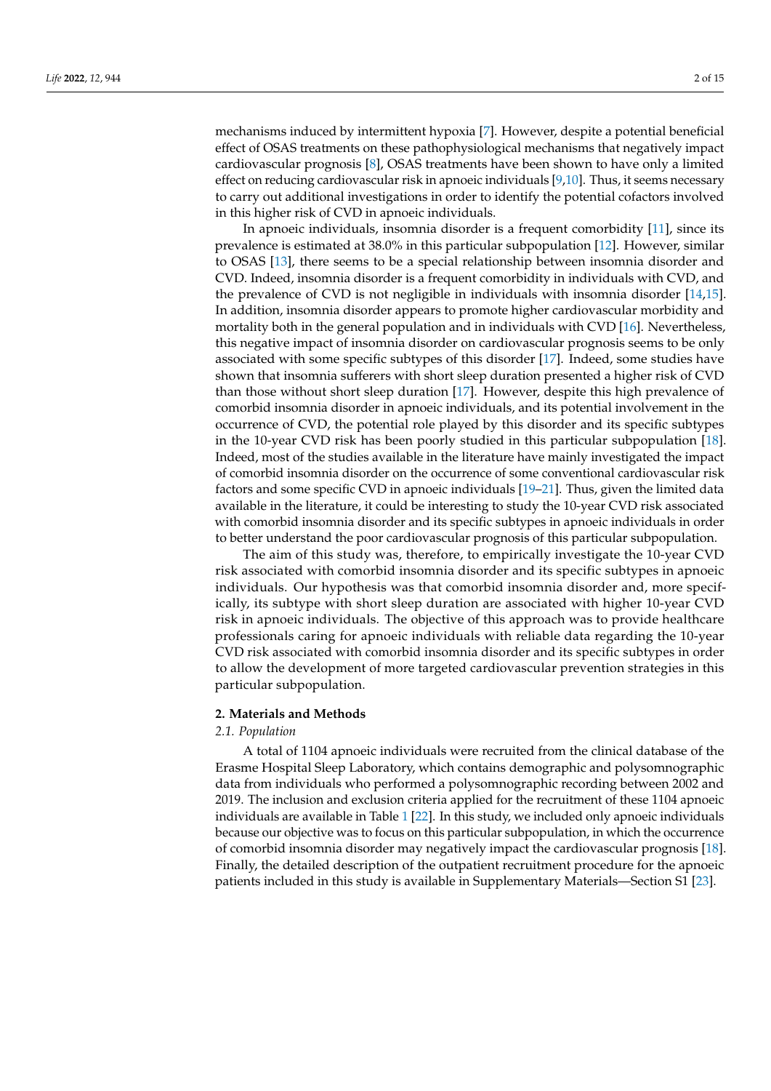mechanisms induced by intermittent hypoxia [\[7\]](#page-11-5). However, despite a potential beneficial effect of OSAS treatments on these pathophysiological mechanisms that negatively impact cardiovascular prognosis [\[8\]](#page-11-6), OSAS treatments have been shown to have only a limited effect on reducing cardiovascular risk in apnoeic individuals [\[9](#page-11-7)[,10\]](#page-11-8). Thus, it seems necessary to carry out additional investigations in order to identify the potential cofactors involved in this higher risk of CVD in apnoeic individuals.

In apnoeic individuals, insomnia disorder is a frequent comorbidity [\[11\]](#page-11-9), since its prevalence is estimated at 38.0% in this particular subpopulation [\[12\]](#page-12-0). However, similar to OSAS [\[13\]](#page-12-1), there seems to be a special relationship between insomnia disorder and CVD. Indeed, insomnia disorder is a frequent comorbidity in individuals with CVD, and the prevalence of CVD is not negligible in individuals with insomnia disorder [\[14,](#page-12-2)[15\]](#page-12-3). In addition, insomnia disorder appears to promote higher cardiovascular morbidity and mortality both in the general population and in individuals with CVD [\[16\]](#page-12-4). Nevertheless, this negative impact of insomnia disorder on cardiovascular prognosis seems to be only associated with some specific subtypes of this disorder [\[17\]](#page-12-5). Indeed, some studies have shown that insomnia sufferers with short sleep duration presented a higher risk of CVD than those without short sleep duration [\[17\]](#page-12-5). However, despite this high prevalence of comorbid insomnia disorder in apnoeic individuals, and its potential involvement in the occurrence of CVD, the potential role played by this disorder and its specific subtypes in the 10-year CVD risk has been poorly studied in this particular subpopulation [\[18\]](#page-12-6). Indeed, most of the studies available in the literature have mainly investigated the impact of comorbid insomnia disorder on the occurrence of some conventional cardiovascular risk factors and some specific CVD in apnoeic individuals [\[19–](#page-12-7)[21\]](#page-12-8). Thus, given the limited data available in the literature, it could be interesting to study the 10-year CVD risk associated with comorbid insomnia disorder and its specific subtypes in apnoeic individuals in order to better understand the poor cardiovascular prognosis of this particular subpopulation.

The aim of this study was, therefore, to empirically investigate the 10-year CVD risk associated with comorbid insomnia disorder and its specific subtypes in apnoeic individuals. Our hypothesis was that comorbid insomnia disorder and, more specifically, its subtype with short sleep duration are associated with higher 10-year CVD risk in apnoeic individuals. The objective of this approach was to provide healthcare professionals caring for apnoeic individuals with reliable data regarding the 10-year CVD risk associated with comorbid insomnia disorder and its specific subtypes in order to allow the development of more targeted cardiovascular prevention strategies in this particular subpopulation.

## **2. Materials and Methods**

## *2.1. Population*

A total of 1104 apnoeic individuals were recruited from the clinical database of the Erasme Hospital Sleep Laboratory, which contains demographic and polysomnographic data from individuals who performed a polysomnographic recording between 2002 and 2019. The inclusion and exclusion criteria applied for the recruitment of these 1104 apnoeic individuals are available in Table [1](#page-2-0) [\[22\]](#page-12-9). In this study, we included only apnoeic individuals because our objective was to focus on this particular subpopulation, in which the occurrence of comorbid insomnia disorder may negatively impact the cardiovascular prognosis [\[18\]](#page-12-6). Finally, the detailed description of the outpatient recruitment procedure for the apnoeic patients included in this study is available in Supplementary Materials—Section S1 [\[23\]](#page-12-10).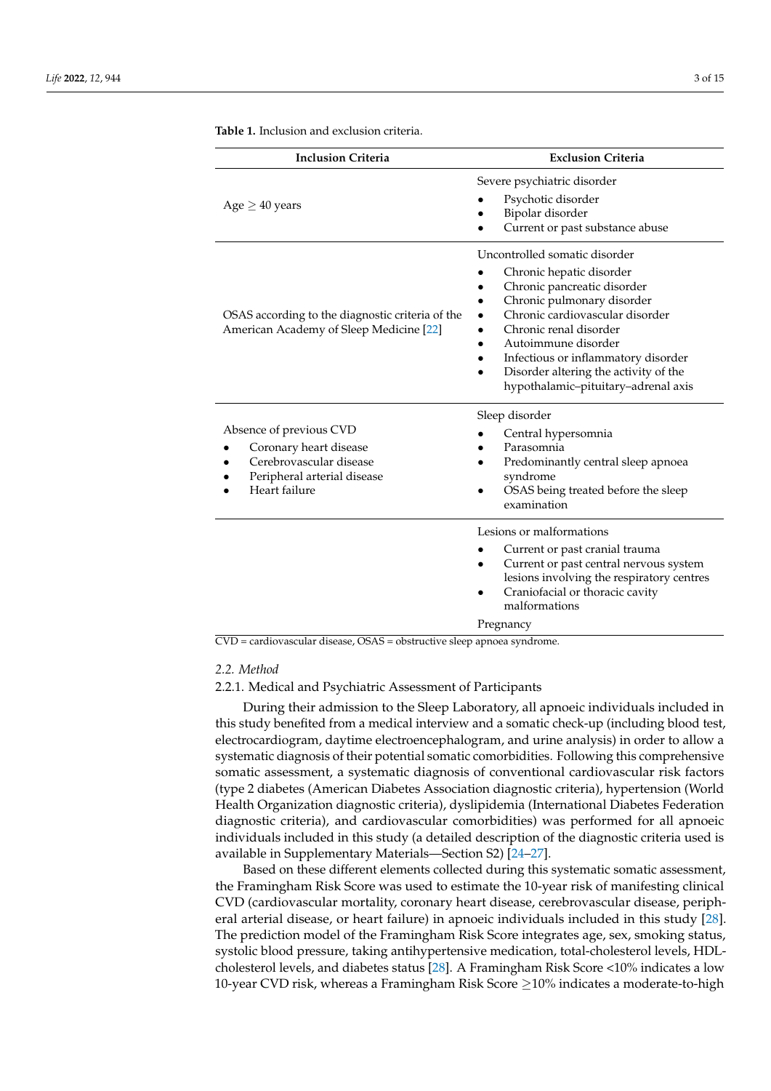| <b>Inclusion Criteria</b>                                                                                                    | <b>Exclusion Criteria</b>                                                                                                                                                                                                                                                                                                         |  |  |  |
|------------------------------------------------------------------------------------------------------------------------------|-----------------------------------------------------------------------------------------------------------------------------------------------------------------------------------------------------------------------------------------------------------------------------------------------------------------------------------|--|--|--|
| Age $\geq$ 40 years                                                                                                          | Severe psychiatric disorder<br>Psychotic disorder<br>Bipolar disorder<br>Current or past substance abuse                                                                                                                                                                                                                          |  |  |  |
| OSAS according to the diagnostic criteria of the<br>American Academy of Sleep Medicine [22]                                  | Uncontrolled somatic disorder<br>Chronic hepatic disorder<br>Chronic pancreatic disorder<br>Chronic pulmonary disorder<br>Chronic cardiovascular disorder<br>Chronic renal disorder<br>Autoimmune disorder<br>Infectious or inflammatory disorder<br>Disorder altering the activity of the<br>hypothalamic-pituitary-adrenal axis |  |  |  |
| Absence of previous CVD<br>Coronary heart disease<br>Cerebrovascular disease<br>Peripheral arterial disease<br>Heart failure | Sleep disorder<br>Central hypersomnia<br>Parasomnia<br>Predominantly central sleep apnoea<br>syndrome<br>OSAS being treated before the sleep<br>examination                                                                                                                                                                       |  |  |  |
|                                                                                                                              | Lesions or malformations<br>Current or past cranial trauma<br>Current or past central nervous system<br>lesions involving the respiratory centres<br>Craniofacial or thoracic cavity<br>malformations<br>Pregnancy                                                                                                                |  |  |  |

<span id="page-2-0"></span>**Table 1.** Inclusion and exclusion criteria.

CVD = cardiovascular disease, OSAS = obstructive sleep apnoea syndrome.

#### *2.2. Method*

## 2.2.1. Medical and Psychiatric Assessment of Participants

During their admission to the Sleep Laboratory, all apnoeic individuals included in this study benefited from a medical interview and a somatic check-up (including blood test, electrocardiogram, daytime electroencephalogram, and urine analysis) in order to allow a systematic diagnosis of their potential somatic comorbidities. Following this comprehensive somatic assessment, a systematic diagnosis of conventional cardiovascular risk factors (type 2 diabetes (American Diabetes Association diagnostic criteria), hypertension (World Health Organization diagnostic criteria), dyslipidemia (International Diabetes Federation diagnostic criteria), and cardiovascular comorbidities) was performed for all apnoeic individuals included in this study (a detailed description of the diagnostic criteria used is available in Supplementary Materials—Section S2) [\[24–](#page-12-11)[27\]](#page-12-12).

Based on these different elements collected during this systematic somatic assessment, the Framingham Risk Score was used to estimate the 10-year risk of manifesting clinical CVD (cardiovascular mortality, coronary heart disease, cerebrovascular disease, peripheral arterial disease, or heart failure) in apnoeic individuals included in this study [\[28\]](#page-12-13). The prediction model of the Framingham Risk Score integrates age, sex, smoking status, systolic blood pressure, taking antihypertensive medication, total-cholesterol levels, HDLcholesterol levels, and diabetes status [\[28\]](#page-12-13). A Framingham Risk Score <10% indicates a low 10-year CVD risk, whereas a Framingham Risk Score  $\geq$ 10% indicates a moderate-to-high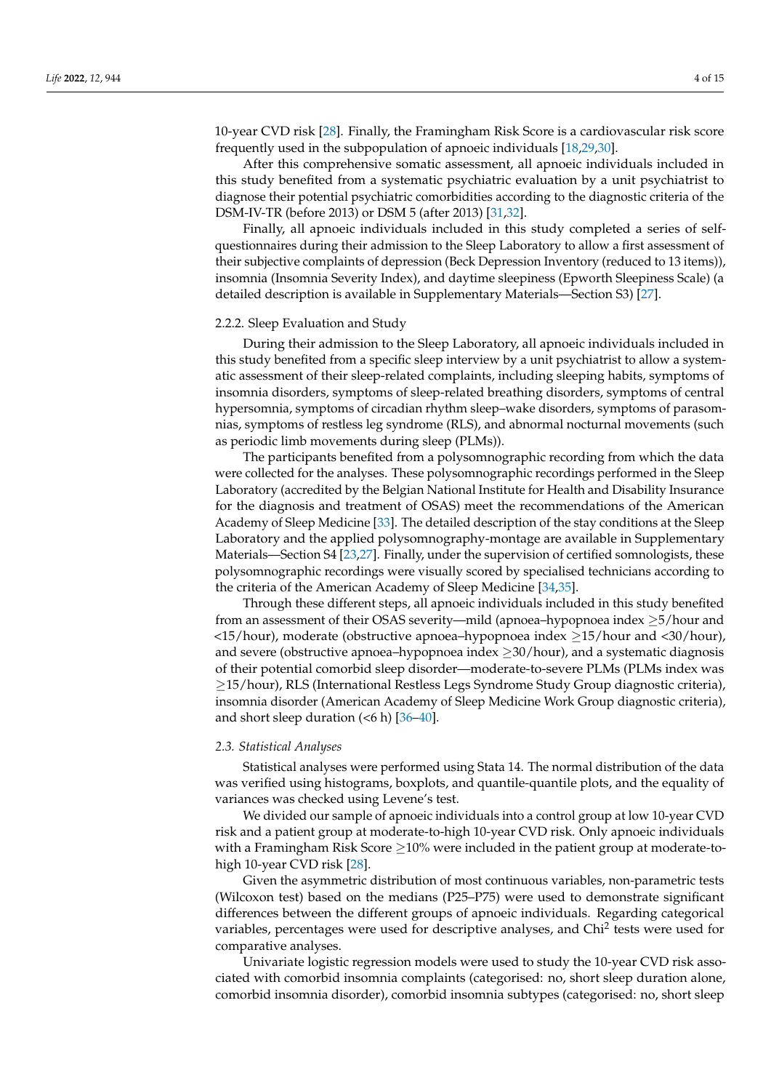10-year CVD risk [\[28\]](#page-12-13). Finally, the Framingham Risk Score is a cardiovascular risk score frequently used in the subpopulation of apnoeic individuals [\[18](#page-12-6)[,29,](#page-12-14)[30\]](#page-12-15).

After this comprehensive somatic assessment, all apnoeic individuals included in this study benefited from a systematic psychiatric evaluation by a unit psychiatrist to diagnose their potential psychiatric comorbidities according to the diagnostic criteria of the DSM-IV-TR (before 2013) or DSM 5 (after 2013) [\[31](#page-12-16)[,32\]](#page-12-17).

Finally, all apnoeic individuals included in this study completed a series of selfquestionnaires during their admission to the Sleep Laboratory to allow a first assessment of their subjective complaints of depression (Beck Depression Inventory (reduced to 13 items)), insomnia (Insomnia Severity Index), and daytime sleepiness (Epworth Sleepiness Scale) (a detailed description is available in Supplementary Materials—Section S3) [\[27\]](#page-12-12).

## 2.2.2. Sleep Evaluation and Study

During their admission to the Sleep Laboratory, all apnoeic individuals included in this study benefited from a specific sleep interview by a unit psychiatrist to allow a systematic assessment of their sleep-related complaints, including sleeping habits, symptoms of insomnia disorders, symptoms of sleep-related breathing disorders, symptoms of central hypersomnia, symptoms of circadian rhythm sleep–wake disorders, symptoms of parasomnias, symptoms of restless leg syndrome (RLS), and abnormal nocturnal movements (such as periodic limb movements during sleep (PLMs)).

The participants benefited from a polysomnographic recording from which the data were collected for the analyses. These polysomnographic recordings performed in the Sleep Laboratory (accredited by the Belgian National Institute for Health and Disability Insurance for the diagnosis and treatment of OSAS) meet the recommendations of the American Academy of Sleep Medicine [\[33\]](#page-12-18). The detailed description of the stay conditions at the Sleep Laboratory and the applied polysomnography-montage are available in Supplementary Materials—Section S4 [\[23](#page-12-10)[,27\]](#page-12-12). Finally, under the supervision of certified somnologists, these polysomnographic recordings were visually scored by specialised technicians according to the criteria of the American Academy of Sleep Medicine [\[34](#page-12-19)[,35\]](#page-13-0).

Through these different steps, all apnoeic individuals included in this study benefited from an assessment of their OSAS severity—mild (apnoea–hypopnoea index ≥5/hour and <15/hour), moderate (obstructive apnoea–hypopnoea index ≥15/hour and <30/hour), and severe (obstructive apnoea–hypopnoea index  $\geq$ 30/hour), and a systematic diagnosis of their potential comorbid sleep disorder—moderate-to-severe PLMs (PLMs index was ≥15/hour), RLS (International Restless Legs Syndrome Study Group diagnostic criteria), insomnia disorder (American Academy of Sleep Medicine Work Group diagnostic criteria), and short sleep duration  $(< 6 h)$  [\[36–](#page-13-1)[40\]](#page-13-2).

#### *2.3. Statistical Analyses*

Statistical analyses were performed using Stata 14. The normal distribution of the data was verified using histograms, boxplots, and quantile-quantile plots, and the equality of variances was checked using Levene's test.

We divided our sample of apnoeic individuals into a control group at low 10-year CVD risk and a patient group at moderate-to-high 10-year CVD risk. Only apnoeic individuals with a Framingham Risk Score  $\geq$ 10% were included in the patient group at moderate-tohigh 10-year CVD risk [\[28\]](#page-12-13).

Given the asymmetric distribution of most continuous variables, non-parametric tests (Wilcoxon test) based on the medians (P25–P75) were used to demonstrate significant differences between the different groups of apnoeic individuals. Regarding categorical variables, percentages were used for descriptive analyses, and Chi<sup>2</sup> tests were used for comparative analyses.

Univariate logistic regression models were used to study the 10-year CVD risk associated with comorbid insomnia complaints (categorised: no, short sleep duration alone, comorbid insomnia disorder), comorbid insomnia subtypes (categorised: no, short sleep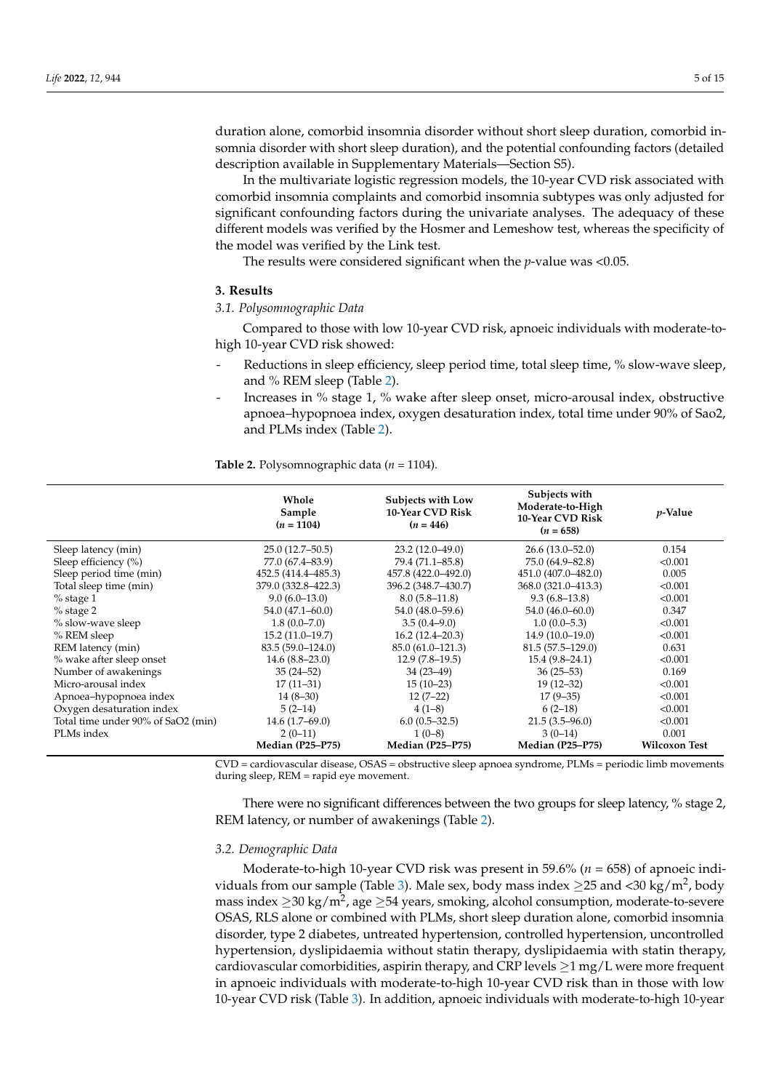duration alone, comorbid insomnia disorder without short sleep duration, comorbid insomnia disorder with short sleep duration), and the potential confounding factors (detailed description available in Supplementary Materials—Section S5).

In the multivariate logistic regression models, the 10-year CVD risk associated with comorbid insomnia complaints and comorbid insomnia subtypes was only adjusted for significant confounding factors during the univariate analyses. The adequacy of these different models was verified by the Hosmer and Lemeshow test, whereas the specificity of the model was verified by the Link test.

The results were considered significant when the *p*-value was <0.05.

## **3. Results**

## *3.1. Polysomnographic Data*

Compared to those with low 10-year CVD risk, apnoeic individuals with moderate-tohigh 10-year CVD risk showed:

- Reductions in sleep efficiency, sleep period time, total sleep time, % slow-wave sleep, and % REM sleep (Table [2\)](#page-4-0).
- Increases in % stage 1, % wake after sleep onset, micro-arousal index, obstructive apnoea–hypopnoea index, oxygen desaturation index, total time under 90% of Sao2, and PLMs index (Table [2\)](#page-4-0).

<span id="page-4-0"></span>**Table 2.** Polysomnographic data (*n* = 1104).

|                                    | Whole<br>Sample<br>$(n = 1104)$ | <b>Subjects with Low</b><br>10-Year CVD Risk<br>$(n = 446)$ | Subjects with<br>Moderate-to-High<br>10-Year CVD Risk<br>$(n = 658)$ | <i>p</i> -Value      |
|------------------------------------|---------------------------------|-------------------------------------------------------------|----------------------------------------------------------------------|----------------------|
| Sleep latency (min)                | $25.0(12.7-50.5)$               | $23.2(12.0-49.0)$                                           | $26.6(13.0 - 52.0)$                                                  | 0.154                |
| Sleep efficiency (%)               | 77.0 (67.4–83.9)                | 79.4 (71.1–85.8)                                            | 75.0 (64.9-82.8)                                                     | < 0.001              |
| Sleep period time (min)            | 452.5 (414.4–485.3)             | 457.8 (422.0–492.0)                                         | 451.0 (407.0-482.0)                                                  | 0.005                |
| Total sleep time (min)             | 379.0 (332.8-422.3)             | 396.2 (348.7-430.7)                                         | 368.0 (321.0-413.3)                                                  | < 0.001              |
| $%$ stage 1                        | $9.0(6.0-13.0)$                 | $8.0(5.8-11.8)$                                             | $9.3(6.8-13.8)$                                                      | < 0.001              |
| $%$ stage 2                        | $54.0(47.1 - 60.0)$             | 54.0 (48.0–59.6)                                            | $54.0(46.0 - 60.0)$                                                  | 0.347                |
| % slow-wave sleep                  | $1.8(0.0 - 7.0)$                | $3.5(0.4 - 9.0)$                                            | $1.0(0.0-5.3)$                                                       | < 0.001              |
| % REM sleep                        | $15.2(11.0-19.7)$               | $16.2(12.4 - 20.3)$                                         | $14.9(10.0-19.0)$                                                    | < 0.001              |
| REM latency (min)                  | $83.5(59.0-124.0)$              | 85.0 (61.0–121.3)                                           | $81.5(57.5-129.0)$                                                   | 0.631                |
| % wake after sleep onset           | $14.6(8.8-23.0)$                | $12.9(7.8-19.5)$                                            | $15.4(9.8-24.1)$                                                     | < 0.001              |
| Number of awakenings               | $35(24 - 52)$                   | $34(23-49)$                                                 | $36(25-53)$                                                          | 0.169                |
| Micro-arousal index                | $17(11-31)$                     | $15(10-23)$                                                 | $19(12 - 32)$                                                        | < 0.001              |
| Apnoea-hypopnoea index             | $14(8-30)$                      | $12(7-22)$                                                  | $17(9-35)$                                                           | < 0.001              |
| Oxygen desaturation index          | $5(2-14)$                       | $4(1-8)$                                                    | $6(2-18)$                                                            | < 0.001              |
| Total time under 90% of SaO2 (min) | $14.6(1.7-69.0)$                | $6.0(0.5-32.5)$<br>$21.5(3.5-96.0)$                         |                                                                      | < 0.001              |
| PLMs index                         | $2(0-11)$                       | $1(0-8)$                                                    | $3(0-14)$                                                            |                      |
|                                    | Median (P25–P75)                | Median (P25-P75)                                            | Median (P25-P75)                                                     | <b>Wilcoxon Test</b> |

CVD = cardiovascular disease, OSAS = obstructive sleep apnoea syndrome, PLMs = periodic limb movements during sleep, REM = rapid eye movement.

There were no significant differences between the two groups for sleep latency, % stage 2, REM latency, or number of awakenings (Table [2\)](#page-4-0).

## *3.2. Demographic Data*

Moderate-to-high 10-year CVD risk was present in 59.6% (*n* = 658) of apnoeic indi-viduals from our sample (Table [3\)](#page-6-0). Male sex, body mass index  $\geq$ 25 and <30 kg/m<sup>2</sup>, body mass index  ${\geq}30$  kg/m $^2$ , age  ${\geq}54$  years, smoking, alcohol consumption, moderate-to-severe OSAS, RLS alone or combined with PLMs, short sleep duration alone, comorbid insomnia disorder, type 2 diabetes, untreated hypertension, controlled hypertension, uncontrolled hypertension, dyslipidaemia without statin therapy, dyslipidaemia with statin therapy, cardiovascular comorbidities, aspirin therapy, and CRP levels  $\geq 1$  mg/L were more frequent in apnoeic individuals with moderate-to-high 10-year CVD risk than in those with low 10-year CVD risk (Table [3\)](#page-6-0). In addition, apnoeic individuals with moderate-to-high 10-year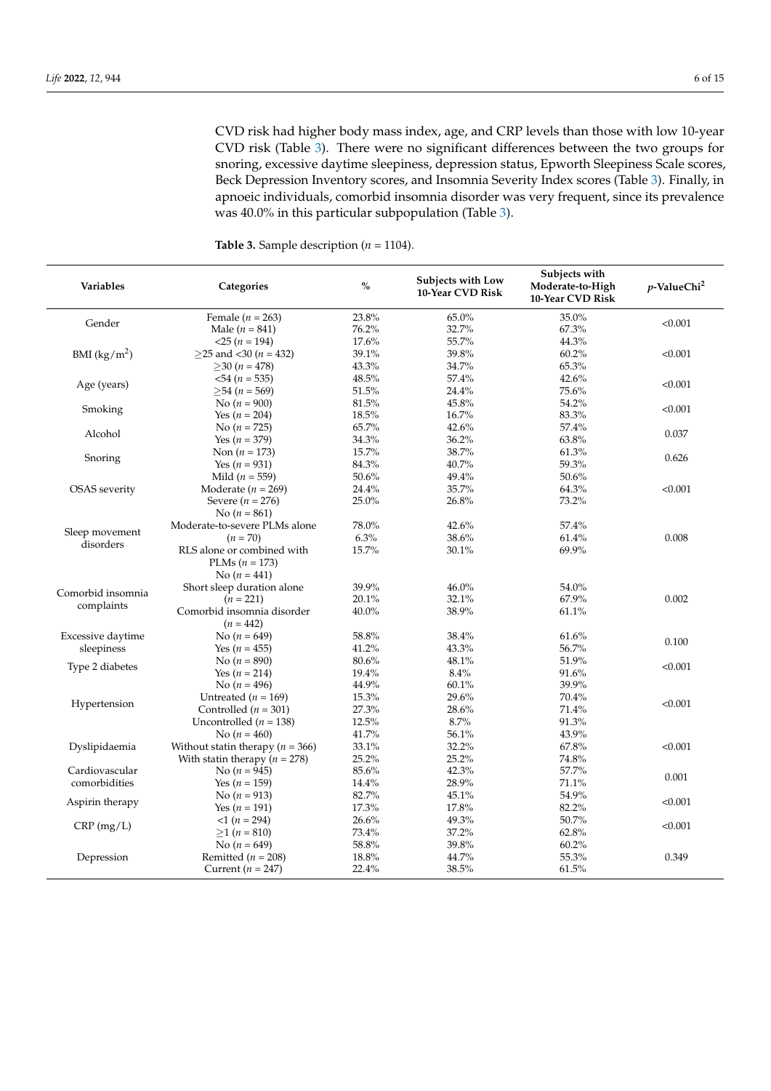CVD risk had higher body mass index, age, and CRP levels than those with low 10-year CVD risk (Table [3\)](#page-6-0). There were no significant differences between the two groups for snoring, excessive daytime sleepiness, depression status, Epworth Sleepiness Scale scores, Beck Depression Inventory scores, and Insomnia Severity Index scores (Table [3\)](#page-6-0). Finally, in apnoeic individuals, comorbid insomnia disorder was very frequent, since its prevalence was 40.0% in this particular subpopulation (Table [3\)](#page-6-0).

**Table 3.** Sample description ( $n = 1104$ ).

| Variables            | Categories                                | $\%$     | <b>Subjects with Low</b><br>10-Year CVD Risk | Subjects with<br>Moderate-to-High<br>10-Year CVD Risk | $p$ -ValueChi <sup>2</sup> |  |
|----------------------|-------------------------------------------|----------|----------------------------------------------|-------------------------------------------------------|----------------------------|--|
|                      | Female ( $n = 263$ )                      | 23.8%    | 65.0%                                        | $35.0\%$                                              |                            |  |
| Gender               | Male $(n = 841)$                          | 76.2%    | 32.7%                                        | 67.3%                                                 | < 0.001                    |  |
|                      | $<$ 25 ( <i>n</i> = 194)                  | 17.6%    | 55.7%                                        | 44.3%                                                 |                            |  |
| BMI $(kg/m^2)$       | $\geq$ 25 and <30 ( <i>n</i> = 432)       | 39.1%    | 39.8%                                        | 60.2%                                                 | < 0.001                    |  |
|                      | $>$ 30 ( <i>n</i> = 478)                  | 43.3%    | 34.7%                                        | 65.3%                                                 |                            |  |
|                      | $<54 (n = 535)$                           | 48.5%    | 57.4%                                        | 42.6%                                                 |                            |  |
| Age (years)          | $>54 (n = 569)$                           | $51.5\%$ | 24.4%                                        | 75.6%                                                 | < 0.001                    |  |
|                      | No $(n = 900)$                            | 81.5%    | 45.8%                                        | 54.2%                                                 |                            |  |
| Smoking              | Yes $(n = 204)$                           | 18.5%    | 16.7%                                        | 83.3%                                                 | < 0.001                    |  |
|                      | No $(n = 725)$                            | 65.7%    | 42.6%                                        | 57.4%                                                 |                            |  |
| Alcohol              | Yes $(n = 379)$                           | 34.3%    | 36.2%                                        | 63.8%                                                 | 0.037                      |  |
|                      | Non $(n = 173)$                           | 15.7%    | 38.7%                                        | 61.3%                                                 |                            |  |
| Snoring              | Yes $(n = 931)$                           | 84.3%    | 40.7%                                        | 59.3%                                                 | 0.626                      |  |
|                      | Mild ( $n = 559$ )                        | 50.6%    | 49.4%                                        | 50.6%                                                 |                            |  |
| <b>OSAS</b> severity | Moderate ( $n = 269$ )                    | 24.4%    | 35.7%                                        | 64.3%                                                 | < 0.001                    |  |
|                      | Severe $(n = 276)$                        | 25.0%    | 26.8%                                        | 73.2%                                                 |                            |  |
|                      | No $(n = 861)$                            |          |                                              |                                                       |                            |  |
|                      | Moderate-to-severe PLMs alone             | 78.0%    | 42.6%                                        | 57.4%                                                 |                            |  |
| Sleep movement       | $(n = 70)$                                | 6.3%     | 38.6%                                        | 61.4%                                                 | 0.008                      |  |
| disorders            | RLS alone or combined with                | 15.7%    | 30.1%                                        | 69.9%                                                 |                            |  |
|                      | PLMs $(n = 173)$<br>No $(n = 441)$        |          |                                              |                                                       |                            |  |
|                      | Short sleep duration alone                | 39.9%    | 46.0%                                        | 54.0%                                                 |                            |  |
| Comorbid insomnia    | $(n = 221)$                               | 20.1%    | 32.1%                                        | 67.9%                                                 | 0.002                      |  |
| complaints           | Comorbid insomnia disorder<br>$(n = 442)$ | 40.0%    | 38.9%                                        | 61.1%                                                 |                            |  |
| Excessive daytime    | No $(n = 649)$                            | 58.8%    | 38.4%                                        | 61.6%                                                 |                            |  |
| sleepiness           | Yes $(n = 455)$                           | 41.2%    | 43.3%                                        | 56.7%                                                 | 0.100                      |  |
|                      | No $(n = 890)$                            | 80.6%    | 48.1%                                        | $51.9\%$                                              |                            |  |
| Type 2 diabetes      | Yes $(n = 214)$                           | 19.4%    | 8.4%                                         | 91.6%                                                 | < 0.001                    |  |
|                      | No $(n = 496)$                            | 44.9%    | 60.1%                                        | 39.9%                                                 |                            |  |
|                      | Untreated ( $n = 169$ )                   | 15.3%    | 29.6%                                        | 70.4%                                                 |                            |  |
| Hypertension         | Controlled ( $n = 301$ )                  | 27.3%    | 28.6%                                        | 71.4%                                                 | < 0.001                    |  |
|                      | Uncontrolled ( $n = 138$ )                | 12.5%    | 8.7%                                         | 91.3%                                                 |                            |  |
|                      | No $(n = 460)$                            | 41.7%    | 56.1%                                        | 43.9%                                                 |                            |  |
| Dyslipidaemia        | Without statin therapy ( $n = 366$ )      | 33.1%    | 32.2%                                        | 67.8%                                                 | < 0.001                    |  |
|                      | With statin therapy ( $n = 278$ )         | 25.2%    | 25.2%                                        | 74.8%                                                 |                            |  |
| Cardiovascular       | No $(n = 945)$                            | $85.6\%$ | 42.3%                                        | 57.7%                                                 |                            |  |
| comorbidities        | Yes $(n = 159)$                           | 14.4%    | 28.9%                                        | $71.1\%$                                              | 0.001                      |  |
|                      | No $(n = 913)$                            | 82.7%    | 45.1%                                        | 54.9%                                                 |                            |  |
| Aspirin therapy      | Yes $(n = 191)$                           | 17.3%    | $17.8\%$                                     | 82.2%                                                 | < 0.001                    |  |
|                      | $-1(n = 294)$                             | 26.6%    | 49.3%                                        | 50.7%                                                 |                            |  |
| $CRP$ (mg/L)         | $>1 (n = 810)$                            | 73.4%    | 37.2%                                        | 62.8%                                                 | < 0.001                    |  |
|                      | No $(n = 649)$                            | $58.8\%$ | 39.8%                                        | 60.2%                                                 |                            |  |
| Depression           | Remitted ( $n = 208$ )                    | 18.8%    | 44.7%                                        | 55.3%                                                 | 0.349                      |  |
|                      | Current $(n = 247)$                       | 22.4%    | 38.5%                                        | 61.5%                                                 |                            |  |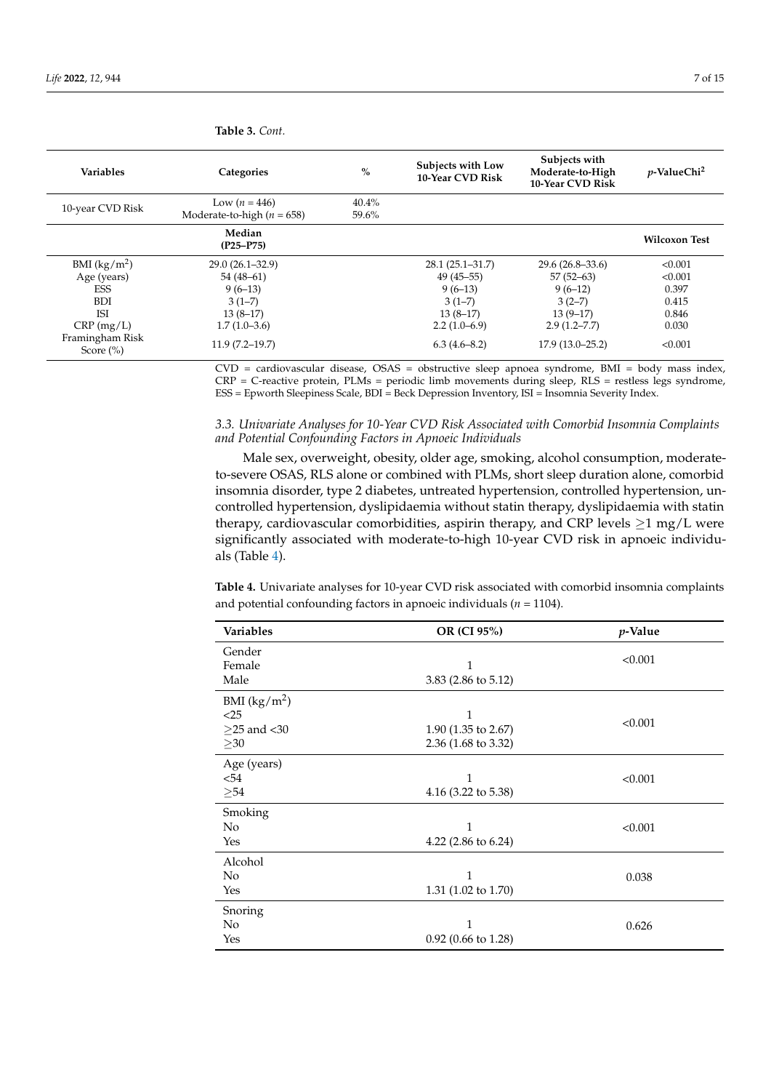<span id="page-6-0"></span>

| <b>Variables</b>                 | Categories                     | $\frac{6}{6}$ | <b>Subjects with Low</b><br>10-Year CVD Risk | Subjects with<br>Moderate-to-High<br>10-Year CVD Risk | <i>p</i> -ValueChi <sup>2</sup> |  |
|----------------------------------|--------------------------------|---------------|----------------------------------------------|-------------------------------------------------------|---------------------------------|--|
| 10-year CVD Risk                 | Low $(n = 446)$                | 40.4%         |                                              |                                                       |                                 |  |
|                                  | Moderate-to-high ( $n = 658$ ) | 59.6%         |                                              |                                                       |                                 |  |
|                                  | Median<br>$(P25 - P75)$        |               |                                              |                                                       | <b>Wilcoxon Test</b>            |  |
| BMI $(kg/m^2)$                   | $29.0(26.1 - 32.9)$            |               | $28.1(25.1 - 31.7)$                          | $29.6(26.8-33.6)$                                     | < 0.001                         |  |
| Age (years)                      | $54(48-61)$                    |               | $49(45 - 55)$                                | $57(52-63)$                                           | < 0.001                         |  |
| <b>ESS</b>                       | $9(6-13)$                      |               | $9(6-13)$                                    | $9(6-12)$                                             | 0.397                           |  |
| <b>BDI</b>                       | $3(1-7)$                       |               | $3(1-7)$                                     | $3(2-7)$                                              | 0.415                           |  |
| <b>ISI</b>                       | $13(8-17)$                     |               | $13(8-17)$                                   | $13(9-17)$                                            | 0.846                           |  |
| $CRP$ (mg/L)                     | $1.7(1.0-3.6)$                 |               | $2.2(1.0-6.9)$                               | $2.9(1.2 - 7.7)$                                      | 0.030                           |  |
| Framingham Risk<br>Score $(\% )$ | $11.9(7.2 - 19.7)$             |               | $6.3(4.6-8.2)$                               | $17.9(13.0 - 25.2)$                                   | < 0.001                         |  |

CVD = cardiovascular disease, OSAS = obstructive sleep apnoea syndrome, BMI = body mass index, CRP = C-reactive protein, PLMs = periodic limb movements during sleep, RLS = restless legs syndrome, ESS = Epworth Sleepiness Scale, BDI = Beck Depression Inventory, ISI = Insomnia Severity Index.

## *3.3. Univariate Analyses for 10-Year CVD Risk Associated with Comorbid Insomnia Complaints and Potential Confounding Factors in Apnoeic Individuals*

Male sex, overweight, obesity, older age, smoking, alcohol consumption, moderateto-severe OSAS, RLS alone or combined with PLMs, short sleep duration alone, comorbid insomnia disorder, type 2 diabetes, untreated hypertension, controlled hypertension, uncontrolled hypertension, dyslipidaemia without statin therapy, dyslipidaemia with statin therapy, cardiovascular comorbidities, aspirin therapy, and CRP levels  $\geq$ 1 mg/L were significantly associated with moderate-to-high 10-year CVD risk in apnoeic individuals (Table [4\)](#page-7-0).

**Table 4.** Univariate analyses for 10-year CVD risk associated with comorbid insomnia complaints and potential confounding factors in apnoeic individuals (*n* = 1104).

| <b>Variables</b>                                         | OR (CI 95%)                                                | $p$ -Value |
|----------------------------------------------------------|------------------------------------------------------------|------------|
| Gender<br>Female<br>Male                                 | 1<br>3.83 (2.86 to 5.12)                                   | < 0.001    |
| BMI $(kg/m2)$<br>$<$ 25<br>$>25$ and $<$ 30<br>$\geq 30$ | $\mathbf{1}$<br>1.90 (1.35 to 2.67)<br>2.36 (1.68 to 3.32) | < 0.001    |
| Age (years)<br>$54$<br>$\geq 54$                         | 1<br>4.16 (3.22 to 5.38)                                   | < 0.001    |
| Smoking<br>N <sub>o</sub><br>Yes                         | 1<br>4.22 (2.86 to 6.24)                                   | < 0.001    |
| Alcohol<br>No<br>Yes                                     | $\mathbf{1}$<br>1.31 (1.02 to 1.70)                        | 0.038      |
| Snoring<br>No<br>Yes                                     | 1<br>$0.92$ (0.66 to 1.28)                                 | 0.626      |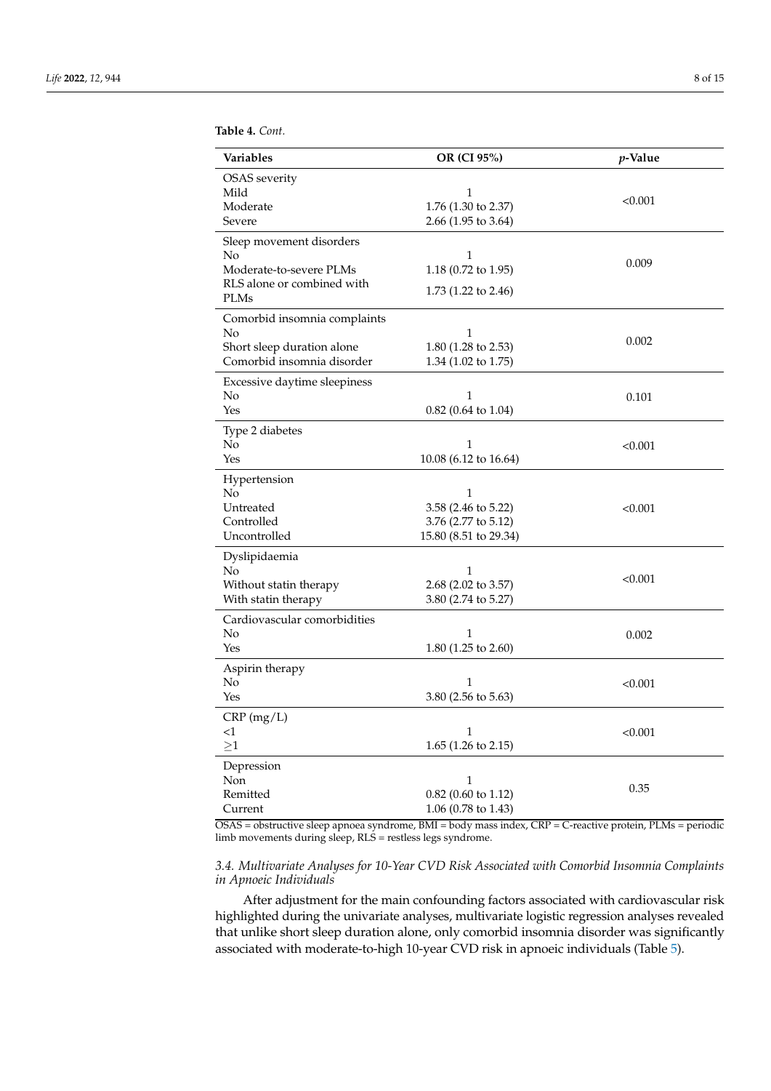<span id="page-7-0"></span>

| <b>Table 4.</b> Cont. |  |
|-----------------------|--|
|-----------------------|--|

| Variables                    | OR (CI 95%)                   | $p$ -Value |
|------------------------------|-------------------------------|------------|
| <b>OSAS</b> severity         |                               |            |
| Mild                         | 1                             |            |
| Moderate                     | 1.76 (1.30 to 2.37)           | < 0.001    |
| Severe                       | 2.66 (1.95 to 3.64)           |            |
| Sleep movement disorders     |                               |            |
| No                           | 1                             |            |
| Moderate-to-severe PLMs      | 1.18 (0.72 to 1.95)           | 0.009      |
| RLS alone or combined with   | $1.73(1.22 \text{ to } 2.46)$ |            |
| <b>PLMs</b>                  |                               |            |
| Comorbid insomnia complaints |                               |            |
| No                           | 1                             | 0.002      |
| Short sleep duration alone   | 1.80 (1.28 to 2.53)           |            |
| Comorbid insomnia disorder   | 1.34 (1.02 to 1.75)           |            |
| Excessive daytime sleepiness |                               |            |
| No                           | 1                             | 0.101      |
| Yes                          | 0.82 (0.64 to 1.04)           |            |
| Type 2 diabetes              |                               |            |
| No                           | 1                             | < 0.001    |
| Yes                          | 10.08 (6.12 to 16.64)         |            |
| Hypertension                 |                               |            |
| No                           | 1                             |            |
| Untreated                    | 3.58 (2.46 to 5.22)           | < 0.001    |
| Controlled                   | 3.76 (2.77 to 5.12)           |            |
| Uncontrolled                 | 15.80 (8.51 to 29.34)         |            |
| Dyslipidaemia                |                               |            |
| No                           | 1                             | < 0.001    |
| Without statin therapy       | 2.68 (2.02 to 3.57)           |            |
| With statin therapy          | 3.80 (2.74 to 5.27)           |            |
| Cardiovascular comorbidities |                               |            |
| No                           | 1                             | 0.002      |
| Yes                          | 1.80 (1.25 to 2.60)           |            |
| Aspirin therapy              |                               |            |
| No                           | 1                             | < 0.001    |
| Yes                          | 3.80 (2.56 to 5.63)           |            |
| CRP(mg/L)                    |                               |            |
| $<$ 1                        | 1                             | < 0.001    |
| $\geq1$                      | 1.65 (1.26 to 2.15)           |            |
| Depression                   |                               |            |
| Non                          | $\mathbf{1}$                  | 0.35       |
| Remitted                     | $0.82$ (0.60 to 1.12)         |            |
| Current                      | 1.06 (0.78 to 1.43)           |            |

OSAS = obstructive sleep apnoea syndrome, BMI = body mass index, CRP = C-reactive protein, PLMs = periodic limb movements during sleep, RLS = restless legs syndrome.

## *3.4. Multivariate Analyses for 10-Year CVD Risk Associated with Comorbid Insomnia Complaints in Apnoeic Individuals*

After adjustment for the main confounding factors associated with cardiovascular risk highlighted during the univariate analyses, multivariate logistic regression analyses revealed that unlike short sleep duration alone, only comorbid insomnia disorder was significantly associated with moderate-to-high 10-year CVD risk in apnoeic individuals (Table [5\)](#page-8-0).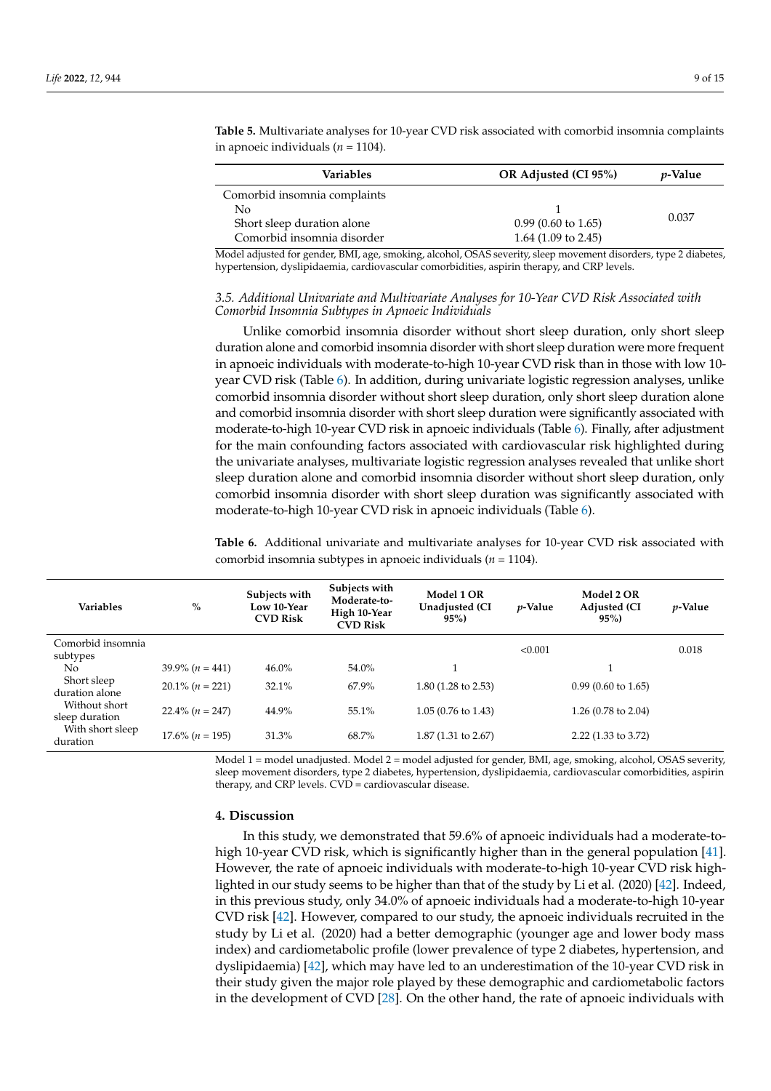| OR Adjusted (CI 95%)<br>Variables |                                | <i>v</i> -Value |
|-----------------------------------|--------------------------------|-----------------|
| Comorbid insomnia complaints      |                                |                 |
| No                                |                                |                 |
| Short sleep duration alone        | $0.99(0.60 \text{ to } 1.65)$  | 0.037           |
| Comorbid insomnia disorder        | 1.64 $(1.09 \text{ to } 2.45)$ |                 |

<span id="page-8-0"></span>**Table 5.** Multivariate analyses for 10-year CVD risk associated with comorbid insomnia complaints in apnoeic individuals (*n* = 1104).

Model adjusted for gender, BMI, age, smoking, alcohol, OSAS severity, sleep movement disorders, type 2 diabetes, hypertension, dyslipidaemia, cardiovascular comorbidities, aspirin therapy, and CRP levels.

## *3.5. Additional Univariate and Multivariate Analyses for 10-Year CVD Risk Associated with Comorbid Insomnia Subtypes in Apnoeic Individuals*

Unlike comorbid insomnia disorder without short sleep duration, only short sleep duration alone and comorbid insomnia disorder with short sleep duration were more frequent in apnoeic individuals with moderate-to-high 10-year CVD risk than in those with low 10 year CVD risk (Table [6\)](#page-8-1). In addition, during univariate logistic regression analyses, unlike comorbid insomnia disorder without short sleep duration, only short sleep duration alone and comorbid insomnia disorder with short sleep duration were significantly associated with moderate-to-high 10-year CVD risk in apnoeic individuals (Table [6\)](#page-8-1). Finally, after adjustment for the main confounding factors associated with cardiovascular risk highlighted during the univariate analyses, multivariate logistic regression analyses revealed that unlike short sleep duration alone and comorbid insomnia disorder without short sleep duration, only comorbid insomnia disorder with short sleep duration was significantly associated with moderate-to-high 10-year CVD risk in apnoeic individuals (Table [6\)](#page-8-1).

<span id="page-8-1"></span>**Table 6.** Additional univariate and multivariate analyses for 10-year CVD risk associated with comorbid insomnia subtypes in apnoeic individuals (*n* = 1104).

| <b>Variables</b>                | $\%$               | Subjects with<br>Low 10-Year<br><b>CVD Risk</b> | Subjects with<br>Moderate-to-<br>High 10-Year<br><b>CVD Risk</b> | Model 1 OR<br><b>Unadjusted</b> (CI<br>$95\%$ | <i>p</i> -Value | Model 2 OR<br><b>Adjusted (CI</b><br>$95\%$ | $p$ -Value |
|---------------------------------|--------------------|-------------------------------------------------|------------------------------------------------------------------|-----------------------------------------------|-----------------|---------------------------------------------|------------|
| Comorbid insomnia<br>subtypes   |                    |                                                 |                                                                  |                                               | < 0.001         |                                             | 0.018      |
| N <sub>o</sub>                  | $39.9\% (n = 441)$ | 46.0%                                           | 54.0%                                                            |                                               |                 |                                             |            |
| Short sleep<br>duration alone   | $20.1\% (n = 221)$ | 32.1%                                           | 67.9%                                                            | $1.80(1.28 \text{ to } 2.53)$                 |                 | $0.99(0.60 \text{ to } 1.65)$               |            |
| Without short<br>sleep duration | $22.4\% (n = 247)$ | 44.9%                                           | 55.1%                                                            | $1.05(0.76 \text{ to } 1.43)$                 |                 | 1.26 $(0.78 \text{ to } 2.04)$              |            |
| With short sleep<br>duration    | $17.6\% (n = 195)$ | 31.3%                                           | 68.7%                                                            | $1.87(1.31 \text{ to } 2.67)$                 |                 | 2.22 (1.33 to 3.72)                         |            |

Model 1 = model unadjusted. Model 2 = model adjusted for gender, BMI, age, smoking, alcohol, OSAS severity, sleep movement disorders, type 2 diabetes, hypertension, dyslipidaemia, cardiovascular comorbidities, aspirin therapy, and CRP levels. CVD = cardiovascular disease.

## **4. Discussion**

In this study, we demonstrated that 59.6% of apnoeic individuals had a moderate-tohigh 10-year CVD risk, which is significantly higher than in the general population [\[41\]](#page-13-3). However, the rate of apnoeic individuals with moderate-to-high 10-year CVD risk highlighted in our study seems to be higher than that of the study by Li et al. (2020) [\[42\]](#page-13-4). Indeed, in this previous study, only 34.0% of apnoeic individuals had a moderate-to-high 10-year CVD risk [\[42\]](#page-13-4). However, compared to our study, the apnoeic individuals recruited in the study by Li et al. (2020) had a better demographic (younger age and lower body mass index) and cardiometabolic profile (lower prevalence of type 2 diabetes, hypertension, and dyslipidaemia) [\[42\]](#page-13-4), which may have led to an underestimation of the 10-year CVD risk in their study given the major role played by these demographic and cardiometabolic factors in the development of CVD [\[28\]](#page-12-13). On the other hand, the rate of apnoeic individuals with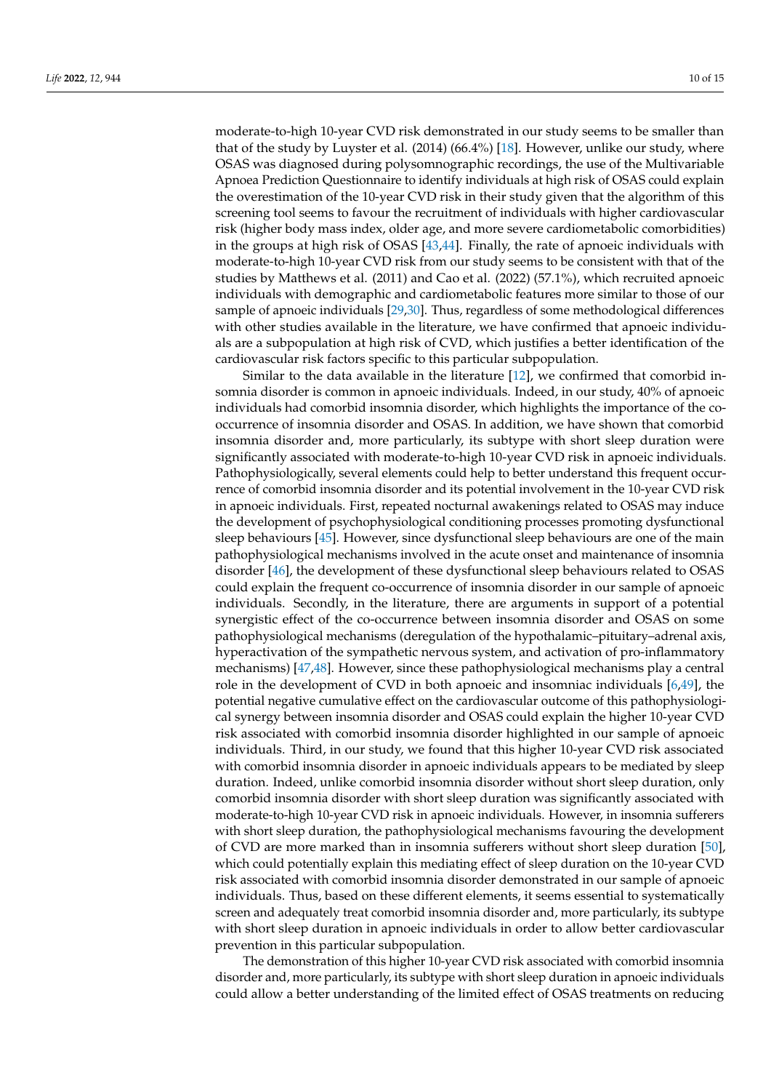moderate-to-high 10-year CVD risk demonstrated in our study seems to be smaller than that of the study by Luyster et al. (2014) (66.4%) [\[18\]](#page-12-6). However, unlike our study, where OSAS was diagnosed during polysomnographic recordings, the use of the Multivariable Apnoea Prediction Questionnaire to identify individuals at high risk of OSAS could explain the overestimation of the 10-year CVD risk in their study given that the algorithm of this screening tool seems to favour the recruitment of individuals with higher cardiovascular risk (higher body mass index, older age, and more severe cardiometabolic comorbidities) in the groups at high risk of OSAS [\[43](#page-13-5)[,44\]](#page-13-6). Finally, the rate of apnoeic individuals with moderate-to-high 10-year CVD risk from our study seems to be consistent with that of the studies by Matthews et al. (2011) and Cao et al. (2022) (57.1%), which recruited apnoeic individuals with demographic and cardiometabolic features more similar to those of our sample of apnoeic individuals [\[29](#page-12-14)[,30\]](#page-12-15). Thus, regardless of some methodological differences with other studies available in the literature, we have confirmed that apnoeic individuals are a subpopulation at high risk of CVD, which justifies a better identification of the cardiovascular risk factors specific to this particular subpopulation.

Similar to the data available in the literature [\[12\]](#page-12-0), we confirmed that comorbid insomnia disorder is common in apnoeic individuals. Indeed, in our study, 40% of apnoeic individuals had comorbid insomnia disorder, which highlights the importance of the cooccurrence of insomnia disorder and OSAS. In addition, we have shown that comorbid insomnia disorder and, more particularly, its subtype with short sleep duration were significantly associated with moderate-to-high 10-year CVD risk in apnoeic individuals. Pathophysiologically, several elements could help to better understand this frequent occurrence of comorbid insomnia disorder and its potential involvement in the 10-year CVD risk in apnoeic individuals. First, repeated nocturnal awakenings related to OSAS may induce the development of psychophysiological conditioning processes promoting dysfunctional sleep behaviours [\[45\]](#page-13-7). However, since dysfunctional sleep behaviours are one of the main pathophysiological mechanisms involved in the acute onset and maintenance of insomnia disorder [\[46\]](#page-13-8), the development of these dysfunctional sleep behaviours related to OSAS could explain the frequent co-occurrence of insomnia disorder in our sample of apnoeic individuals. Secondly, in the literature, there are arguments in support of a potential synergistic effect of the co-occurrence between insomnia disorder and OSAS on some pathophysiological mechanisms (deregulation of the hypothalamic–pituitary–adrenal axis, hyperactivation of the sympathetic nervous system, and activation of pro-inflammatory mechanisms) [\[47](#page-13-9)[,48\]](#page-13-10). However, since these pathophysiological mechanisms play a central role in the development of CVD in both apnoeic and insomniac individuals [\[6](#page-11-4)[,49\]](#page-13-11), the potential negative cumulative effect on the cardiovascular outcome of this pathophysiological synergy between insomnia disorder and OSAS could explain the higher 10-year CVD risk associated with comorbid insomnia disorder highlighted in our sample of apnoeic individuals. Third, in our study, we found that this higher 10-year CVD risk associated with comorbid insomnia disorder in apnoeic individuals appears to be mediated by sleep duration. Indeed, unlike comorbid insomnia disorder without short sleep duration, only comorbid insomnia disorder with short sleep duration was significantly associated with moderate-to-high 10-year CVD risk in apnoeic individuals. However, in insomnia sufferers with short sleep duration, the pathophysiological mechanisms favouring the development of CVD are more marked than in insomnia sufferers without short sleep duration [\[50\]](#page-13-12), which could potentially explain this mediating effect of sleep duration on the 10-year CVD risk associated with comorbid insomnia disorder demonstrated in our sample of apnoeic individuals. Thus, based on these different elements, it seems essential to systematically screen and adequately treat comorbid insomnia disorder and, more particularly, its subtype with short sleep duration in apnoeic individuals in order to allow better cardiovascular prevention in this particular subpopulation.

The demonstration of this higher 10-year CVD risk associated with comorbid insomnia disorder and, more particularly, its subtype with short sleep duration in apnoeic individuals could allow a better understanding of the limited effect of OSAS treatments on reducing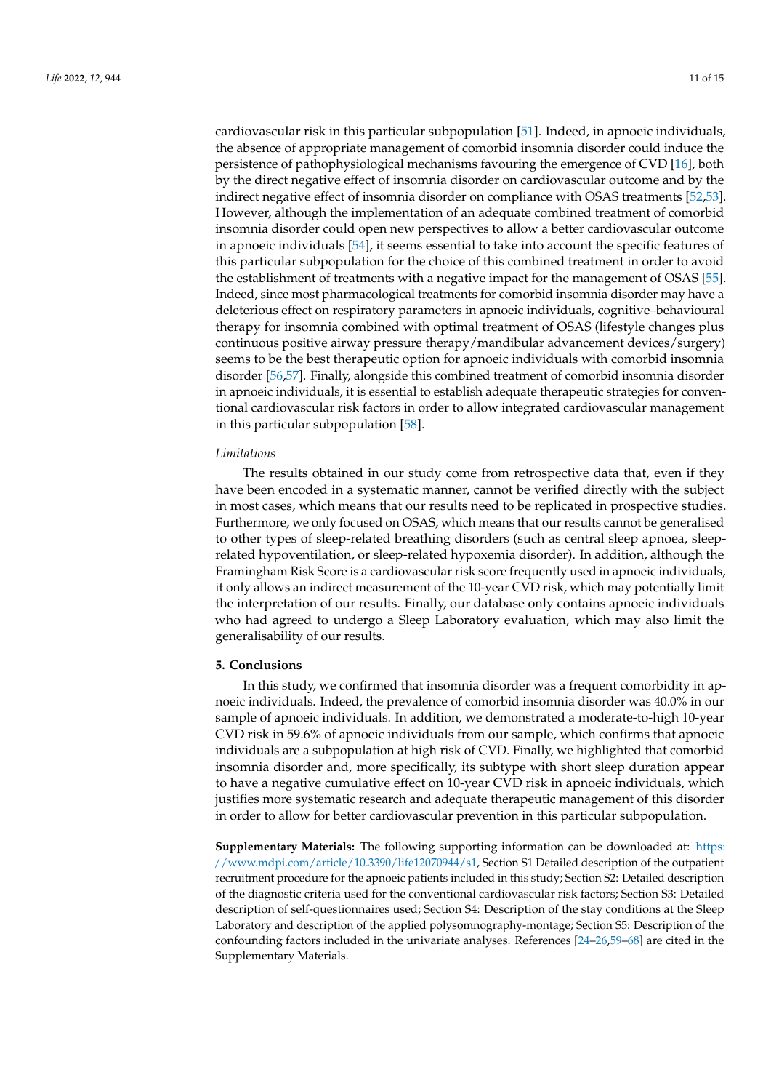cardiovascular risk in this particular subpopulation [\[51\]](#page-13-13). Indeed, in apnoeic individuals, the absence of appropriate management of comorbid insomnia disorder could induce the persistence of pathophysiological mechanisms favouring the emergence of CVD [\[16\]](#page-12-4), both by the direct negative effect of insomnia disorder on cardiovascular outcome and by the indirect negative effect of insomnia disorder on compliance with OSAS treatments [\[52](#page-13-14)[,53\]](#page-13-15). However, although the implementation of an adequate combined treatment of comorbid insomnia disorder could open new perspectives to allow a better cardiovascular outcome in apnoeic individuals [\[54\]](#page-13-16), it seems essential to take into account the specific features of this particular subpopulation for the choice of this combined treatment in order to avoid the establishment of treatments with a negative impact for the management of OSAS [\[55\]](#page-13-17). Indeed, since most pharmacological treatments for comorbid insomnia disorder may have a deleterious effect on respiratory parameters in apnoeic individuals, cognitive–behavioural therapy for insomnia combined with optimal treatment of OSAS (lifestyle changes plus continuous positive airway pressure therapy/mandibular advancement devices/surgery) seems to be the best therapeutic option for apnoeic individuals with comorbid insomnia disorder [\[56](#page-13-18)[,57\]](#page-13-19). Finally, alongside this combined treatment of comorbid insomnia disorder in apnoeic individuals, it is essential to establish adequate therapeutic strategies for conventional cardiovascular risk factors in order to allow integrated cardiovascular management in this particular subpopulation [\[58\]](#page-13-20).

#### *Limitations*

The results obtained in our study come from retrospective data that, even if they have been encoded in a systematic manner, cannot be verified directly with the subject in most cases, which means that our results need to be replicated in prospective studies. Furthermore, we only focused on OSAS, which means that our results cannot be generalised to other types of sleep-related breathing disorders (such as central sleep apnoea, sleeprelated hypoventilation, or sleep-related hypoxemia disorder). In addition, although the Framingham Risk Score is a cardiovascular risk score frequently used in apnoeic individuals, it only allows an indirect measurement of the 10-year CVD risk, which may potentially limit the interpretation of our results. Finally, our database only contains apnoeic individuals who had agreed to undergo a Sleep Laboratory evaluation, which may also limit the generalisability of our results.

#### **5. Conclusions**

In this study, we confirmed that insomnia disorder was a frequent comorbidity in apnoeic individuals. Indeed, the prevalence of comorbid insomnia disorder was 40.0% in our sample of apnoeic individuals. In addition, we demonstrated a moderate-to-high 10-year CVD risk in 59.6% of apnoeic individuals from our sample, which confirms that apnoeic individuals are a subpopulation at high risk of CVD. Finally, we highlighted that comorbid insomnia disorder and, more specifically, its subtype with short sleep duration appear to have a negative cumulative effect on 10-year CVD risk in apnoeic individuals, which justifies more systematic research and adequate therapeutic management of this disorder in order to allow for better cardiovascular prevention in this particular subpopulation.

**Supplementary Materials:** The following supporting information can be downloaded at: [https:](https://www.mdpi.com/article/10.3390/life12070944/s1) [//www.mdpi.com/article/10.3390/life12070944/s1,](https://www.mdpi.com/article/10.3390/life12070944/s1) Section S1 Detailed description of the outpatient recruitment procedure for the apnoeic patients included in this study; Section S2: Detailed description of the diagnostic criteria used for the conventional cardiovascular risk factors; Section S3: Detailed description of self-questionnaires used; Section S4: Description of the stay conditions at the Sleep Laboratory and description of the applied polysomnography-montage; Section S5: Description of the confounding factors included in the univariate analyses. References [\[24–](#page-12-11)[26](#page-12-20)[,59](#page-14-0)[–68\]](#page-14-1) are cited in the Supplementary Materials.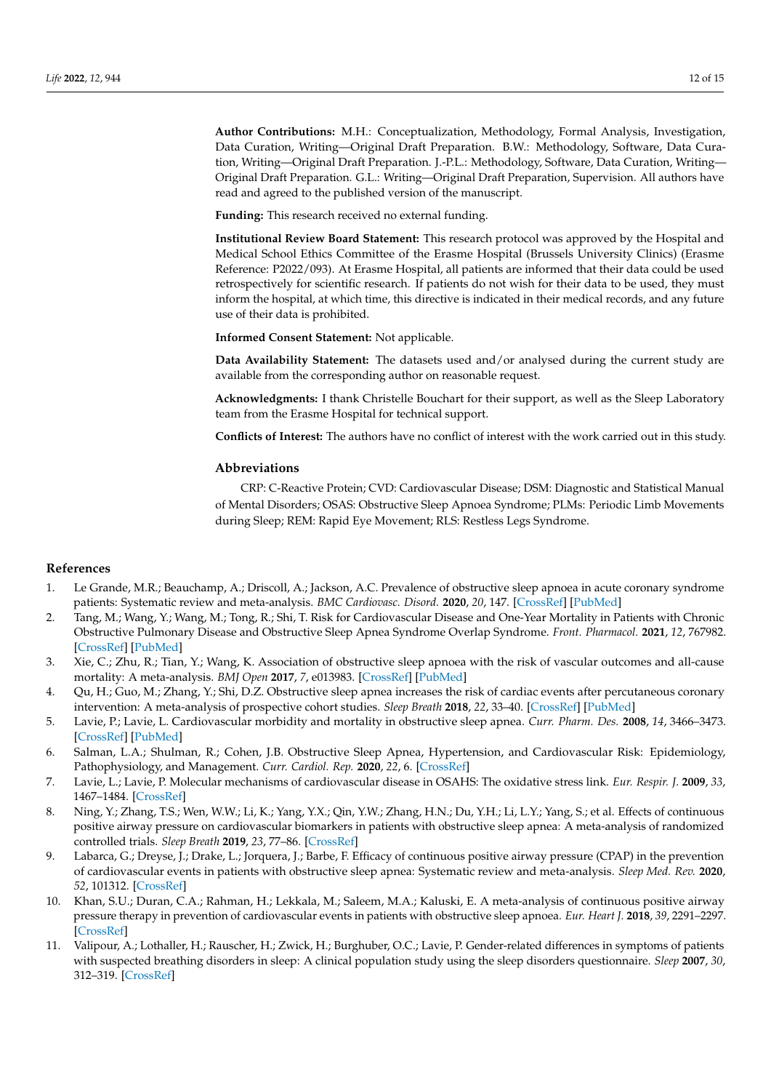**Author Contributions:** M.H.: Conceptualization, Methodology, Formal Analysis, Investigation, Data Curation, Writing—Original Draft Preparation. B.W.: Methodology, Software, Data Curation, Writing—Original Draft Preparation. J.-P.L.: Methodology, Software, Data Curation, Writing— Original Draft Preparation. G.L.: Writing—Original Draft Preparation, Supervision. All authors have read and agreed to the published version of the manuscript.

**Funding:** This research received no external funding.

**Institutional Review Board Statement:** This research protocol was approved by the Hospital and Medical School Ethics Committee of the Erasme Hospital (Brussels University Clinics) (Erasme Reference: P2022/093). At Erasme Hospital, all patients are informed that their data could be used retrospectively for scientific research. If patients do not wish for their data to be used, they must inform the hospital, at which time, this directive is indicated in their medical records, and any future use of their data is prohibited.

**Informed Consent Statement:** Not applicable.

**Data Availability Statement:** The datasets used and/or analysed during the current study are available from the corresponding author on reasonable request.

**Acknowledgments:** I thank Christelle Bouchart for their support, as well as the Sleep Laboratory team from the Erasme Hospital for technical support.

**Conflicts of Interest:** The authors have no conflict of interest with the work carried out in this study.

#### **Abbreviations**

CRP: C-Reactive Protein; CVD: Cardiovascular Disease; DSM: Diagnostic and Statistical Manual of Mental Disorders; OSAS: Obstructive Sleep Apnoea Syndrome; PLMs: Periodic Limb Movements during Sleep; REM: Rapid Eye Movement; RLS: Restless Legs Syndrome.

## **References**

- <span id="page-11-0"></span>1. Le Grande, M.R.; Beauchamp, A.; Driscoll, A.; Jackson, A.C. Prevalence of obstructive sleep apnoea in acute coronary syndrome patients: Systematic review and meta-analysis. *BMC Cardiovasc. Disord.* **2020**, *20*, 147. [\[CrossRef\]](http://doi.org/10.1186/s12872-020-01430-3) [\[PubMed\]](http://www.ncbi.nlm.nih.gov/pubmed/32209053)
- <span id="page-11-1"></span>2. Tang, M.; Wang, Y.; Wang, M.; Tong, R.; Shi, T. Risk for Cardiovascular Disease and One-Year Mortality in Patients with Chronic Obstructive Pulmonary Disease and Obstructive Sleep Apnea Syndrome Overlap Syndrome. *Front. Pharmacol.* **2021**, *12*, 767982. [\[CrossRef\]](http://doi.org/10.3389/fphar.2021.767982) [\[PubMed\]](http://www.ncbi.nlm.nih.gov/pubmed/34764876)
- <span id="page-11-2"></span>3. Xie, C.; Zhu, R.; Tian, Y.; Wang, K. Association of obstructive sleep apnoea with the risk of vascular outcomes and all-cause mortality: A meta-analysis. *BMJ Open* **2017**, *7*, e013983. [\[CrossRef\]](http://doi.org/10.1136/bmjopen-2016-013983) [\[PubMed\]](http://www.ncbi.nlm.nih.gov/pubmed/29275335)
- 4. Qu, H.; Guo, M.; Zhang, Y.; Shi, D.Z. Obstructive sleep apnea increases the risk of cardiac events after percutaneous coronary intervention: A meta-analysis of prospective cohort studies. *Sleep Breath* **2018**, *22*, 33–40. [\[CrossRef\]](http://doi.org/10.1007/s11325-017-1503-8) [\[PubMed\]](http://www.ncbi.nlm.nih.gov/pubmed/28421375)
- <span id="page-11-3"></span>5. Lavie, P.; Lavie, L. Cardiovascular morbidity and mortality in obstructive sleep apnea. *Curr. Pharm. Des.* **2008**, *14*, 3466–3473. [\[CrossRef\]](http://doi.org/10.2174/138161208786549317) [\[PubMed\]](http://www.ncbi.nlm.nih.gov/pubmed/19075722)
- <span id="page-11-4"></span>6. Salman, L.A.; Shulman, R.; Cohen, J.B. Obstructive Sleep Apnea, Hypertension, and Cardiovascular Risk: Epidemiology, Pathophysiology, and Management. *Curr. Cardiol. Rep.* **2020**, *22*, 6. [\[CrossRef\]](http://doi.org/10.1007/s11886-020-1257-y)
- <span id="page-11-5"></span>7. Lavie, L.; Lavie, P. Molecular mechanisms of cardiovascular disease in OSAHS: The oxidative stress link. *Eur. Respir. J.* **2009**, *33*, 1467–1484. [\[CrossRef\]](http://doi.org/10.1183/09031936.00086608)
- <span id="page-11-6"></span>8. Ning, Y.; Zhang, T.S.; Wen, W.W.; Li, K.; Yang, Y.X.; Qin, Y.W.; Zhang, H.N.; Du, Y.H.; Li, L.Y.; Yang, S.; et al. Effects of continuous positive airway pressure on cardiovascular biomarkers in patients with obstructive sleep apnea: A meta-analysis of randomized controlled trials. *Sleep Breath* **2019**, *23*, 77–86. [\[CrossRef\]](http://doi.org/10.1007/s11325-018-1662-2)
- <span id="page-11-7"></span>9. Labarca, G.; Dreyse, J.; Drake, L.; Jorquera, J.; Barbe, F. Efficacy of continuous positive airway pressure (CPAP) in the prevention of cardiovascular events in patients with obstructive sleep apnea: Systematic review and meta-analysis. *Sleep Med. Rev.* **2020**, *52*, 101312. [\[CrossRef\]](http://doi.org/10.1016/j.smrv.2020.101312)
- <span id="page-11-8"></span>10. Khan, S.U.; Duran, C.A.; Rahman, H.; Lekkala, M.; Saleem, M.A.; Kaluski, E. A meta-analysis of continuous positive airway pressure therapy in prevention of cardiovascular events in patients with obstructive sleep apnoea. *Eur. Heart J.* **2018**, *39*, 2291–2297. [\[CrossRef\]](http://doi.org/10.1093/eurheartj/ehx597)
- <span id="page-11-9"></span>11. Valipour, A.; Lothaller, H.; Rauscher, H.; Zwick, H.; Burghuber, O.C.; Lavie, P. Gender-related differences in symptoms of patients with suspected breathing disorders in sleep: A clinical population study using the sleep disorders questionnaire. *Sleep* **2007**, *30*, 312–319. [\[CrossRef\]](http://doi.org/10.1093/sleep/30.3.312)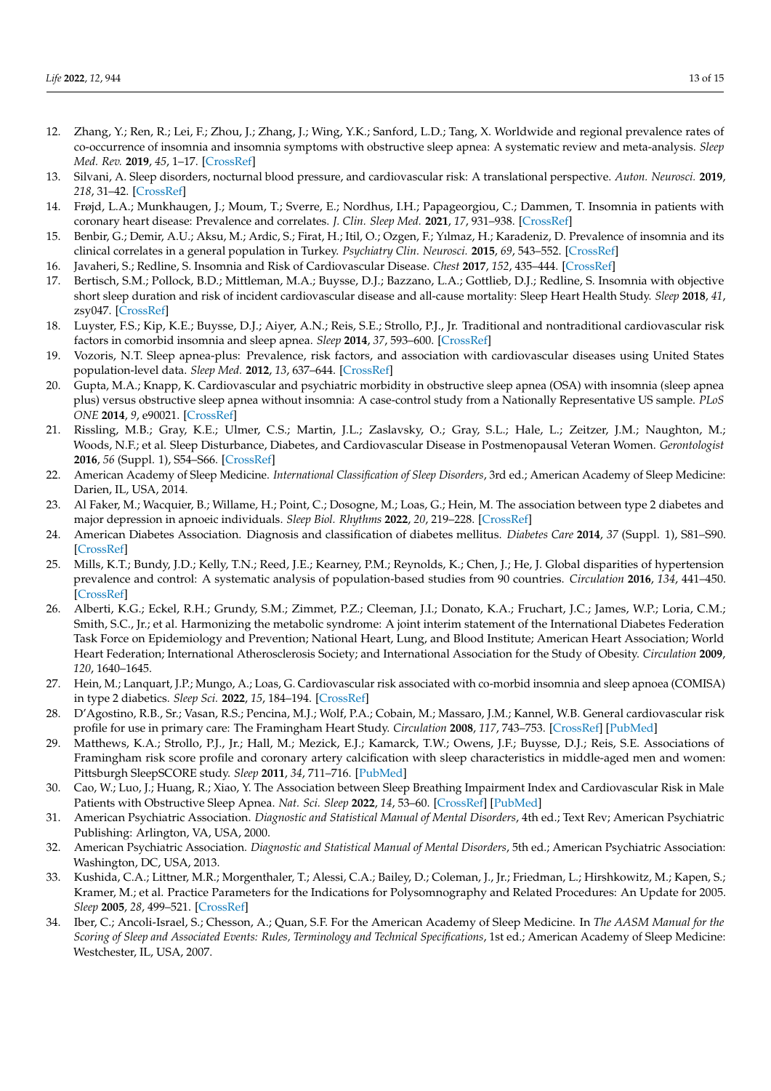- <span id="page-12-0"></span>12. Zhang, Y.; Ren, R.; Lei, F.; Zhou, J.; Zhang, J.; Wing, Y.K.; Sanford, L.D.; Tang, X. Worldwide and regional prevalence rates of co-occurrence of insomnia and insomnia symptoms with obstructive sleep apnea: A systematic review and meta-analysis. *Sleep Med. Rev.* **2019**, *45*, 1–17. [\[CrossRef\]](http://doi.org/10.1016/j.smrv.2019.01.004)
- <span id="page-12-1"></span>13. Silvani, A. Sleep disorders, nocturnal blood pressure, and cardiovascular risk: A translational perspective. *Auton. Neurosci.* **2019**, *218*, 31–42. [\[CrossRef\]](http://doi.org/10.1016/j.autneu.2019.02.006)
- <span id="page-12-2"></span>14. Frøjd, L.A.; Munkhaugen, J.; Moum, T.; Sverre, E.; Nordhus, I.H.; Papageorgiou, C.; Dammen, T. Insomnia in patients with coronary heart disease: Prevalence and correlates. *J. Clin. Sleep Med.* **2021**, *17*, 931–938. [\[CrossRef\]](http://doi.org/10.5664/jcsm.9082)
- <span id="page-12-3"></span>15. Benbir, G.; Demir, A.U.; Aksu, M.; Ardic, S.; Firat, H.; Itil, O.; Ozgen, F.; Yılmaz, H.; Karadeniz, D. Prevalence of insomnia and its clinical correlates in a general population in Turkey. *Psychiatry Clin. Neurosci.* **2015**, *69*, 543–552. [\[CrossRef\]](http://doi.org/10.1111/pcn.12252)
- <span id="page-12-4"></span>16. Javaheri, S.; Redline, S. Insomnia and Risk of Cardiovascular Disease. *Chest* **2017**, *152*, 435–444. [\[CrossRef\]](http://doi.org/10.1016/j.chest.2017.01.026)
- <span id="page-12-5"></span>17. Bertisch, S.M.; Pollock, B.D.; Mittleman, M.A.; Buysse, D.J.; Bazzano, L.A.; Gottlieb, D.J.; Redline, S. Insomnia with objective short sleep duration and risk of incident cardiovascular disease and all-cause mortality: Sleep Heart Health Study. *Sleep* **2018**, *41*, zsy047. [\[CrossRef\]](http://doi.org/10.1093/sleep/zsy047)
- <span id="page-12-6"></span>18. Luyster, F.S.; Kip, K.E.; Buysse, D.J.; Aiyer, A.N.; Reis, S.E.; Strollo, P.J., Jr. Traditional and nontraditional cardiovascular risk factors in comorbid insomnia and sleep apnea. *Sleep* **2014**, *37*, 593–600. [\[CrossRef\]](http://doi.org/10.5665/sleep.3506)
- <span id="page-12-7"></span>19. Vozoris, N.T. Sleep apnea-plus: Prevalence, risk factors, and association with cardiovascular diseases using United States population-level data. *Sleep Med.* **2012**, *13*, 637–644. [\[CrossRef\]](http://doi.org/10.1016/j.sleep.2012.01.004)
- 20. Gupta, M.A.; Knapp, K. Cardiovascular and psychiatric morbidity in obstructive sleep apnea (OSA) with insomnia (sleep apnea plus) versus obstructive sleep apnea without insomnia: A case-control study from a Nationally Representative US sample. *PLoS ONE* **2014**, *9*, e90021. [\[CrossRef\]](http://doi.org/10.1371/journal.pone.0090021)
- <span id="page-12-8"></span>21. Rissling, M.B.; Gray, K.E.; Ulmer, C.S.; Martin, J.L.; Zaslavsky, O.; Gray, S.L.; Hale, L.; Zeitzer, J.M.; Naughton, M.; Woods, N.F.; et al. Sleep Disturbance, Diabetes, and Cardiovascular Disease in Postmenopausal Veteran Women. *Gerontologist* **2016**, *56* (Suppl. 1), S54–S66. [\[CrossRef\]](http://doi.org/10.1093/geront/gnv668)
- <span id="page-12-9"></span>22. American Academy of Sleep Medicine. *International Classification of Sleep Disorders*, 3rd ed.; American Academy of Sleep Medicine: Darien, IL, USA, 2014.
- <span id="page-12-10"></span>23. Al Faker, M.; Wacquier, B.; Willame, H.; Point, C.; Dosogne, M.; Loas, G.; Hein, M. The association between type 2 diabetes and major depression in apnoeic individuals. *Sleep Biol. Rhythms* **2022**, *20*, 219–228. [\[CrossRef\]](http://doi.org/10.1007/s41105-021-00359-0)
- <span id="page-12-11"></span>24. American Diabetes Association. Diagnosis and classification of diabetes mellitus. *Diabetes Care* **2014**, *37* (Suppl. 1), S81–S90. [\[CrossRef\]](http://doi.org/10.2337/dc14-S081)
- 25. Mills, K.T.; Bundy, J.D.; Kelly, T.N.; Reed, J.E.; Kearney, P.M.; Reynolds, K.; Chen, J.; He, J. Global disparities of hypertension prevalence and control: A systematic analysis of population-based studies from 90 countries. *Circulation* **2016**, *134*, 441–450. [\[CrossRef\]](http://doi.org/10.1161/CIRCULATIONAHA.115.018912)
- <span id="page-12-20"></span>26. Alberti, K.G.; Eckel, R.H.; Grundy, S.M.; Zimmet, P.Z.; Cleeman, J.I.; Donato, K.A.; Fruchart, J.C.; James, W.P.; Loria, C.M.; Smith, S.C., Jr.; et al. Harmonizing the metabolic syndrome: A joint interim statement of the International Diabetes Federation Task Force on Epidemiology and Prevention; National Heart, Lung, and Blood Institute; American Heart Association; World Heart Federation; International Atherosclerosis Society; and International Association for the Study of Obesity. *Circulation* **2009**, *120*, 1640–1645.
- <span id="page-12-12"></span>27. Hein, M.; Lanquart, J.P.; Mungo, A.; Loas, G. Cardiovascular risk associated with co-morbid insomnia and sleep apnoea (COMISA) in type 2 diabetics. *Sleep Sci.* **2022**, *15*, 184–194. [\[CrossRef\]](http://doi.org/10.5935/1984-0063.20220018)
- <span id="page-12-13"></span>28. D'Agostino, R.B., Sr.; Vasan, R.S.; Pencina, M.J.; Wolf, P.A.; Cobain, M.; Massaro, J.M.; Kannel, W.B. General cardiovascular risk profile for use in primary care: The Framingham Heart Study. *Circulation* **2008**, *117*, 743–753. [\[CrossRef\]](http://doi.org/10.1161/CIRCULATIONAHA.107.699579) [\[PubMed\]](http://www.ncbi.nlm.nih.gov/pubmed/18212285)
- <span id="page-12-14"></span>29. Matthews, K.A.; Strollo, P.J., Jr.; Hall, M.; Mezick, E.J.; Kamarck, T.W.; Owens, J.F.; Buysse, D.J.; Reis, S.E. Associations of Framingham risk score profile and coronary artery calcification with sleep characteristics in middle-aged men and women: Pittsburgh SleepSCORE study. *Sleep* **2011**, *34*, 711–716. [\[PubMed\]](http://www.ncbi.nlm.nih.gov/pubmed/21629358)
- <span id="page-12-15"></span>30. Cao, W.; Luo, J.; Huang, R.; Xiao, Y. The Association between Sleep Breathing Impairment Index and Cardiovascular Risk in Male Patients with Obstructive Sleep Apnea. *Nat. Sci. Sleep* **2022**, *14*, 53–60. [\[CrossRef\]](http://doi.org/10.2147/NSS.S343661) [\[PubMed\]](http://www.ncbi.nlm.nih.gov/pubmed/35046740)
- <span id="page-12-16"></span>31. American Psychiatric Association. *Diagnostic and Statistical Manual of Mental Disorders*, 4th ed.; Text Rev; American Psychiatric Publishing: Arlington, VA, USA, 2000.
- <span id="page-12-17"></span>32. American Psychiatric Association. *Diagnostic and Statistical Manual of Mental Disorders*, 5th ed.; American Psychiatric Association: Washington, DC, USA, 2013.
- <span id="page-12-18"></span>33. Kushida, C.A.; Littner, M.R.; Morgenthaler, T.; Alessi, C.A.; Bailey, D.; Coleman, J., Jr.; Friedman, L.; Hirshkowitz, M.; Kapen, S.; Kramer, M.; et al. Practice Parameters for the Indications for Polysomnography and Related Procedures: An Update for 2005. *Sleep* **2005**, *28*, 499–521. [\[CrossRef\]](http://doi.org/10.1093/sleep/28.4.499)
- <span id="page-12-19"></span>34. Iber, C.; Ancoli-Israel, S.; Chesson, A.; Quan, S.F. For the American Academy of Sleep Medicine. In *The AASM Manual for the Scoring of Sleep and Associated Events: Rules, Terminology and Technical Specifications*, 1st ed.; American Academy of Sleep Medicine: Westchester, IL, USA, 2007.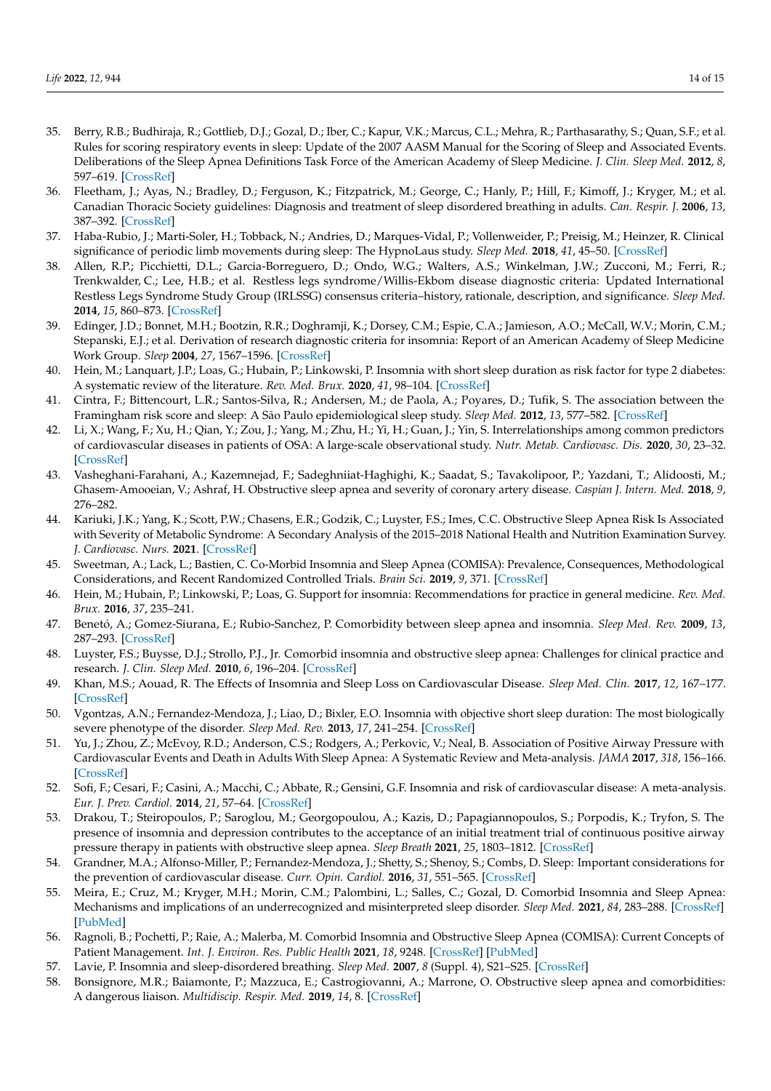- <span id="page-13-0"></span>35. Berry, R.B.; Budhiraja, R.; Gottlieb, D.J.; Gozal, D.; Iber, C.; Kapur, V.K.; Marcus, C.L.; Mehra, R.; Parthasarathy, S.; Quan, S.F.; et al. Rules for scoring respiratory events in sleep: Update of the 2007 AASM Manual for the Scoring of Sleep and Associated Events. Deliberations of the Sleep Apnea Definitions Task Force of the American Academy of Sleep Medicine. *J. Clin. Sleep Med.* **2012**, *8*, 597–619. [\[CrossRef\]](http://doi.org/10.5664/jcsm.2172)
- <span id="page-13-1"></span>36. Fleetham, J.; Ayas, N.; Bradley, D.; Ferguson, K.; Fitzpatrick, M.; George, C.; Hanly, P.; Hill, F.; Kimoff, J.; Kryger, M.; et al. Canadian Thoracic Society guidelines: Diagnosis and treatment of sleep disordered breathing in adults. *Can. Respir. J.* **2006**, *13*, 387–392. [\[CrossRef\]](http://doi.org/10.1155/2006/627096)
- 37. Haba-Rubio, J.; Marti-Soler, H.; Tobback, N.; Andries, D.; Marques-Vidal, P.; Vollenweider, P.; Preisig, M.; Heinzer, R. Clinical significance of periodic limb movements during sleep: The HypnoLaus study. *Sleep Med.* **2018**, *41*, 45–50. [\[CrossRef\]](http://doi.org/10.1016/j.sleep.2017.09.014)
- 38. Allen, R.P.; Picchietti, D.L.; Garcia-Borreguero, D.; Ondo, W.G.; Walters, A.S.; Winkelman, J.W.; Zucconi, M.; Ferri, R.; Trenkwalder, C.; Lee, H.B.; et al. Restless legs syndrome/Willis-Ekbom disease diagnostic criteria: Updated International Restless Legs Syndrome Study Group (IRLSSG) consensus criteria–history, rationale, description, and significance. *Sleep Med.* **2014**, *15*, 860–873. [\[CrossRef\]](http://doi.org/10.1016/j.sleep.2014.03.025)
- 39. Edinger, J.D.; Bonnet, M.H.; Bootzin, R.R.; Doghramji, K.; Dorsey, C.M.; Espie, C.A.; Jamieson, A.O.; McCall, W.V.; Morin, C.M.; Stepanski, E.J.; et al. Derivation of research diagnostic criteria for insomnia: Report of an American Academy of Sleep Medicine Work Group. *Sleep* **2004**, *27*, 1567–1596. [\[CrossRef\]](http://doi.org/10.1093/sleep/27.8.1567)
- <span id="page-13-2"></span>40. Hein, M.; Lanquart, J.P.; Loas, G.; Hubain, P.; Linkowski, P. Insomnia with short sleep duration as risk factor for type 2 diabetes: A systematic review of the literature. *Rev. Med. Brux.* **2020**, *41*, 98–104. [\[CrossRef\]](http://doi.org/10.30637/2020.19-059)
- <span id="page-13-3"></span>41. Cintra, F.; Bittencourt, L.R.; Santos-Silva, R.; Andersen, M.; de Paola, A.; Poyares, D.; Tufik, S. The association between the Framingham risk score and sleep: A São Paulo epidemiological sleep study. *Sleep Med.* **2012**, *13*, 577–582. [\[CrossRef\]](http://doi.org/10.1016/j.sleep.2011.12.016)
- <span id="page-13-4"></span>42. Li, X.; Wang, F.; Xu, H.; Qian, Y.; Zou, J.; Yang, M.; Zhu, H.; Yi, H.; Guan, J.; Yin, S. Interrelationships among common predictors of cardiovascular diseases in patients of OSA: A large-scale observational study. *Nutr. Metab. Cardiovasc. Dis.* **2020**, *30*, 23–32. [\[CrossRef\]](http://doi.org/10.1016/j.numecd.2019.07.016)
- <span id="page-13-5"></span>43. Vasheghani-Farahani, A.; Kazemnejad, F.; Sadeghniiat-Haghighi, K.; Saadat, S.; Tavakolipoor, P.; Yazdani, T.; Alidoosti, M.; Ghasem-Amooeian, V.; Ashraf, H. Obstructive sleep apnea and severity of coronary artery disease. *Caspian J. Intern. Med.* **2018**, *9*, 276–282.
- <span id="page-13-6"></span>44. Kariuki, J.K.; Yang, K.; Scott, P.W.; Chasens, E.R.; Godzik, C.; Luyster, F.S.; Imes, C.C. Obstructive Sleep Apnea Risk Is Associated with Severity of Metabolic Syndrome: A Secondary Analysis of the 2015–2018 National Health and Nutrition Examination Survey. *J. Cardiovasc. Nurs.* **2021**. [\[CrossRef\]](http://doi.org/10.1097/JCN.0000000000000868)
- <span id="page-13-7"></span>45. Sweetman, A.; Lack, L.; Bastien, C. Co-Morbid Insomnia and Sleep Apnea (COMISA): Prevalence, Consequences, Methodological Considerations, and Recent Randomized Controlled Trials. *Brain Sci.* **2019**, *9*, 371. [\[CrossRef\]](http://doi.org/10.3390/brainsci9120371)
- <span id="page-13-8"></span>46. Hein, M.; Hubain, P.; Linkowski, P.; Loas, G. Support for insomnia: Recommendations for practice in general medicine. *Rev. Med. Brux.* **2016**, *37*, 235–241.
- <span id="page-13-9"></span>47. Benetó, A.; Gomez-Siurana, E.; Rubio-Sanchez, P. Comorbidity between sleep apnea and insomnia. *Sleep Med. Rev.* **2009**, *13*, 287–293. [\[CrossRef\]](http://doi.org/10.1016/j.smrv.2008.09.006)
- <span id="page-13-10"></span>48. Luyster, F.S.; Buysse, D.J.; Strollo, P.J., Jr. Comorbid insomnia and obstructive sleep apnea: Challenges for clinical practice and research. *J. Clin. Sleep Med.* **2010**, *6*, 196–204. [\[CrossRef\]](http://doi.org/10.5664/jcsm.27772)
- <span id="page-13-11"></span>49. Khan, M.S.; Aouad, R. The Effects of Insomnia and Sleep Loss on Cardiovascular Disease. *Sleep Med. Clin.* **2017**, *12*, 167–177. [\[CrossRef\]](http://doi.org/10.1016/j.jsmc.2017.01.005)
- <span id="page-13-12"></span>50. Vgontzas, A.N.; Fernandez-Mendoza, J.; Liao, D.; Bixler, E.O. Insomnia with objective short sleep duration: The most biologically severe phenotype of the disorder. *Sleep Med. Rev.* **2013**, *17*, 241–254. [\[CrossRef\]](http://doi.org/10.1016/j.smrv.2012.09.005)
- <span id="page-13-13"></span>51. Yu, J.; Zhou, Z.; McEvoy, R.D.; Anderson, C.S.; Rodgers, A.; Perkovic, V.; Neal, B. Association of Positive Airway Pressure with Cardiovascular Events and Death in Adults With Sleep Apnea: A Systematic Review and Meta-analysis. *JAMA* **2017**, *318*, 156–166. [\[CrossRef\]](http://doi.org/10.1001/jama.2017.7967)
- <span id="page-13-14"></span>52. Sofi, F.; Cesari, F.; Casini, A.; Macchi, C.; Abbate, R.; Gensini, G.F. Insomnia and risk of cardiovascular disease: A meta-analysis. *Eur. J. Prev. Cardiol.* **2014**, *21*, 57–64. [\[CrossRef\]](http://doi.org/10.1177/2047487312460020)
- <span id="page-13-15"></span>53. Drakou, T.; Steiropoulos, P.; Saroglou, M.; Georgopoulou, A.; Kazis, D.; Papagiannopoulos, S.; Porpodis, K.; Tryfon, S. The presence of insomnia and depression contributes to the acceptance of an initial treatment trial of continuous positive airway pressure therapy in patients with obstructive sleep apnea. *Sleep Breath* **2021**, *25*, 1803–1812. [\[CrossRef\]](http://doi.org/10.1007/s11325-020-02266-z)
- <span id="page-13-16"></span>54. Grandner, M.A.; Alfonso-Miller, P.; Fernandez-Mendoza, J.; Shetty, S.; Shenoy, S.; Combs, D. Sleep: Important considerations for the prevention of cardiovascular disease. *Curr. Opin. Cardiol.* **2016**, *31*, 551–565. [\[CrossRef\]](http://doi.org/10.1097/HCO.0000000000000324)
- <span id="page-13-17"></span>55. Meira, E.; Cruz, M.; Kryger, M.H.; Morin, C.M.; Palombini, L.; Salles, C.; Gozal, D. Comorbid Insomnia and Sleep Apnea: Mechanisms and implications of an underrecognized and misinterpreted sleep disorder. *Sleep Med.* **2021**, *84*, 283–288. [\[CrossRef\]](http://doi.org/10.1016/j.sleep.2021.05.043) [\[PubMed\]](http://www.ncbi.nlm.nih.gov/pubmed/34214960)
- <span id="page-13-18"></span>56. Ragnoli, B.; Pochetti, P.; Raie, A.; Malerba, M. Comorbid Insomnia and Obstructive Sleep Apnea (COMISA): Current Concepts of Patient Management. *Int. J. Environ. Res. Public Health* **2021**, *18*, 9248. [\[CrossRef\]](http://doi.org/10.3390/ijerph18179248) [\[PubMed\]](http://www.ncbi.nlm.nih.gov/pubmed/34501836)
- <span id="page-13-19"></span>57. Lavie, P. Insomnia and sleep-disordered breathing. *Sleep Med.* **2007**, *8* (Suppl. 4), S21–S25. [\[CrossRef\]](http://doi.org/10.1016/S1389-9457(08)70005-4)
- <span id="page-13-20"></span>58. Bonsignore, M.R.; Baiamonte, P.; Mazzuca, E.; Castrogiovanni, A.; Marrone, O. Obstructive sleep apnea and comorbidities: A dangerous liaison. *Multidiscip. Respir. Med.* **2019**, *14*, 8. [\[CrossRef\]](http://doi.org/10.1186/s40248-019-0172-9)